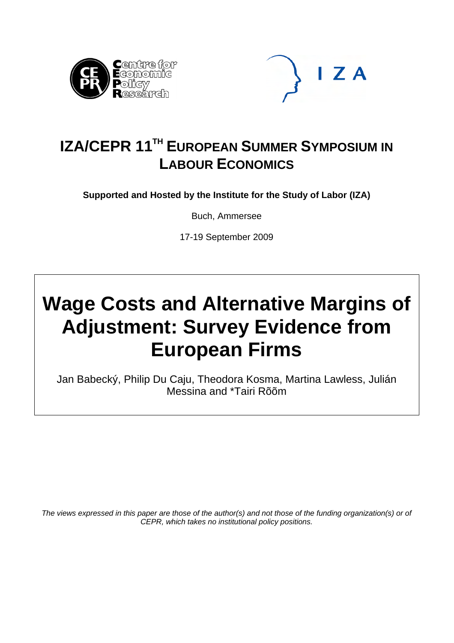



# **IZA/CEPR 11TH EUROPEAN SUMMER SYMPOSIUM IN LABOUR ECONOMICS**

**Supported and Hosted by the Institute for the Study of Labor (IZA)** 

Buch, Ammersee

17-19 September 2009

# **Wage Costs and Alternative Margins of Adjustment: Survey Evidence from European Firms**

Jan Babecký, Philip Du Caju, Theodora Kosma, Martina Lawless, Julián Messina and \*Tairi Rõõm

*The views expressed in this paper are those of the author(s) and not those of the funding organization(s) or of CEPR, which takes no institutional policy positions.*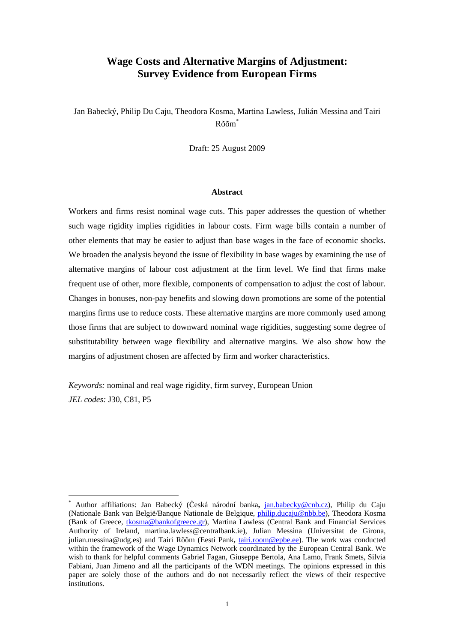# **Wage Costs and Alternative Margins of Adjustment: Survey Evidence from European Firms**

Jan Babecký, Philip Du Caju, Theodora Kosma, Martina Lawless, Julián Messina and Tairi Rõõ[m\\*](#page-1-0)

Draft: 25 August 2009

## **Abstract**

Workers and firms resist nominal wage cuts. This paper addresses the question of whether such wage rigidity implies rigidities in labour costs. Firm wage bills contain a number of other elements that may be easier to adjust than base wages in the face of economic shocks. We broaden the analysis beyond the issue of flexibility in base wages by examining the use of alternative margins of labour cost adjustment at the firm level. We find that firms make frequent use of other, more flexible, components of compensation to adjust the cost of labour. Changes in bonuses, non-pay benefits and slowing down promotions are some of the potential margins firms use to reduce costs. These alternative margins are more commonly used among those firms that are subject to downward nominal wage rigidities, suggesting some degree of substitutability between wage flexibility and alternative margins. We also show how the margins of adjustment chosen are affected by firm and worker characteristics.

*Keywords:* nominal and real wage rigidity, firm survey, European Union *JEL codes:* J30, C81, P5

 $\overline{a}$ 

<span id="page-1-0"></span><sup>\*</sup> Author affiliations: Jan Babecký (Česká národní banka**,** [jan.babecky@cnb.cz\)](mailto:ian.babetskii@cnb.cz), Philip du Caju (Nationale Bank van België/Banque Nationale de Belgique, [philip.ducaju@nbb.be](mailto:philip.ducaju@nbb.be)), Theodora Kosma (Bank of Greece, [tkosma@bankofgreece.gr](mailto:tkosma@bankofgreece.gr)), Martina Lawless (Central Bank and Financial Services Authority of Ireland, martina.lawless@centralbank.ie), Julian Messina (Universitat de Girona, julian.messina@udg.es) and Tairi Rõõm (Eesti Pank**,** [tairi.room@epbe.ee\)](mailto:tairi.room@epbe.ee). The work was conducted within the framework of the Wage Dynamics Network coordinated by the European Central Bank. We wish to thank for helpful comments Gabriel Fagan, Giuseppe Bertola, Ana Lamo, Frank Smets, Silvia Fabiani, Juan Jimeno and all the participants of the WDN meetings. The opinions expressed in this paper are solely those of the authors and do not necessarily reflect the views of their respective institutions.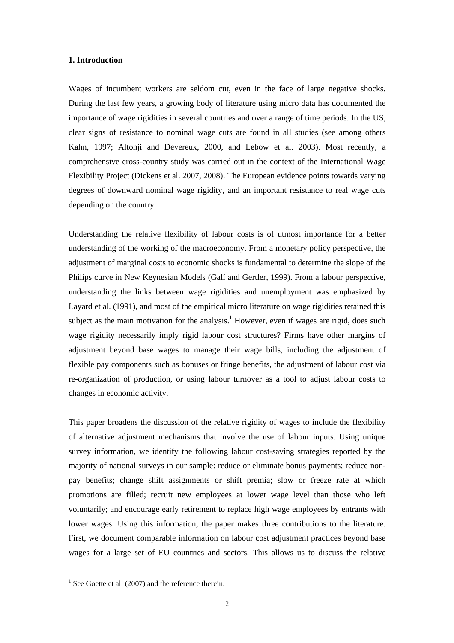## **1. Introduction**

Wages of incumbent workers are seldom cut, even in the face of large negative shocks. During the last few years, a growing body of literature using micro data has documented the importance of wage rigidities in several countries and over a range of time periods. In the US, clear signs of resistance to nominal wage cuts are found in all studies (see among others Kahn, 1997; Altonji and Devereux, 2000, and Lebow et al. 2003). Most recently, a comprehensive cross-country study was carried out in the context of the International Wage Flexibility Project (Dickens et al. 2007, 2008). The European evidence points towards varying degrees of downward nominal wage rigidity, and an important resistance to real wage cuts depending on the country.

Understanding the relative flexibility of labour costs is of utmost importance for a better understanding of the working of the macroeconomy. From a monetary policy perspective, the adjustment of marginal costs to economic shocks is fundamental to determine the slope of the Philips curve in New Keynesian Models (Galí and Gertler, 1999). From a labour perspective, understanding the links between wage rigidities and unemployment was emphasized by Layard et al. (1991), and most of the empirical micro literature on wage rigidities retained this subject as the main motivation for the analysis.<sup>[1](#page-2-0)</sup> However, even if wages are rigid, does such wage rigidity necessarily imply rigid labour cost structures? Firms have other margins of adjustment beyond base wages to manage their wage bills, including the adjustment of flexible pay components such as bonuses or fringe benefits, the adjustment of labour cost via re-organization of production, or using labour turnover as a tool to adjust labour costs to changes in economic activity.

This paper broadens the discussion of the relative rigidity of wages to include the flexibility of alternative adjustment mechanisms that involve the use of labour inputs. Using unique survey information, we identify the following labour cost-saving strategies reported by the majority of national surveys in our sample: reduce or eliminate bonus payments; reduce nonpay benefits; change shift assignments or shift premia; slow or freeze rate at which promotions are filled; recruit new employees at lower wage level than those who left voluntarily; and encourage early retirement to replace high wage employees by entrants with lower wages. Using this information, the paper makes three contributions to the literature. First, we document comparable information on labour cost adjustment practices beyond base wages for a large set of EU countries and sectors. This allows us to discuss the relative

 $\overline{a}$ 

<span id="page-2-0"></span> $<sup>1</sup>$  See Goette et al. (2007) and the reference therein.</sup>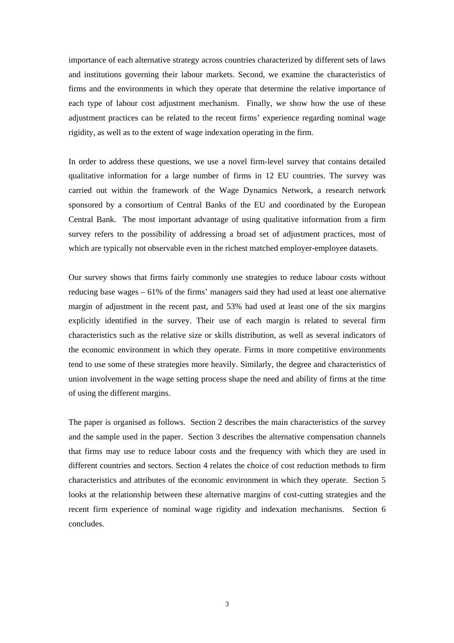importance of each alternative strategy across countries characterized by different sets of laws and institutions governing their labour markets. Second, we examine the characteristics of firms and the environments in which they operate that determine the relative importance of each type of labour cost adjustment mechanism. Finally, we show how the use of these adjustment practices can be related to the recent firms' experience regarding nominal wage rigidity, as well as to the extent of wage indexation operating in the firm.

In order to address these questions, we use a novel firm-level survey that contains detailed qualitative information for a large number of firms in 12 EU countries. The survey was carried out within the framework of the Wage Dynamics Network, a research network sponsored by a consortium of Central Banks of the EU and coordinated by the European Central Bank. The most important advantage of using qualitative information from a firm survey refers to the possibility of addressing a broad set of adjustment practices, most of which are typically not observable even in the richest matched employer-employee datasets.

Our survey shows that firms fairly commonly use strategies to reduce labour costs without reducing base wages – 61% of the firms' managers said they had used at least one alternative margin of adjustment in the recent past, and 53% had used at least one of the six margins explicitly identified in the survey. Their use of each margin is related to several firm characteristics such as the relative size or skills distribution, as well as several indicators of the economic environment in which they operate. Firms in more competitive environments tend to use some of these strategies more heavily. Similarly, the degree and characteristics of union involvement in the wage setting process shape the need and ability of firms at the time of using the different margins.

The paper is organised as follows. Section 2 describes the main characteristics of the survey and the sample used in the paper. Section 3 describes the alternative compensation channels that firms may use to reduce labour costs and the frequency with which they are used in different countries and sectors. Section 4 relates the choice of cost reduction methods to firm characteristics and attributes of the economic environment in which they operate. Section 5 looks at the relationship between these alternative margins of cost-cutting strategies and the recent firm experience of nominal wage rigidity and indexation mechanisms. Section 6 concludes.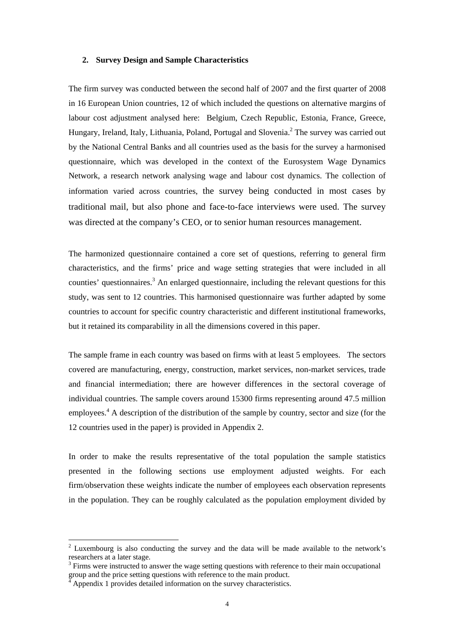## **2. Survey Design and Sample Characteristics**

The firm survey was conducted between the second half of 2007 and the first quarter of 2008 in 16 European Union countries, 12 of which included the questions on alternative margins of labour cost adjustment analysed here: Belgium, Czech Republic, Estonia, France, Greece, Hungary, Ireland, Italy, Lithuania, Poland, Portugal and Slovenia.<sup>2</sup> The survey was carried out by the National Central Banks and all countries used as the basis for the survey a harmonised questionnaire, which was developed in the context of the Eurosystem Wage Dynamics Network, a research network analysing wage and labour cost dynamics. The collection of information varied across countries, the survey being conducted in most cases by traditional mail, but also phone and face-to-face interviews were used. The survey was directed at the company's CEO, or to senior human resources management.

The harmonized questionnaire contained a core set of questions, referring to general firm characteristics, and the firms' price and wage setting strategies that were included in all counties' questionnaires.<sup>[3](#page-4-1)</sup> An enlarged questionnaire, including the relevant questions for this study, was sent to 12 countries. This harmonised questionnaire was further adapted by some countries to account for specific country characteristic and different institutional frameworks, but it retained its comparability in all the dimensions covered in this paper.

The sample frame in each country was based on firms with at least 5 employees. The sectors covered are manufacturing, energy, construction, market services, non-market services, trade and financial intermediation; there are however differences in the sectoral coverage of individual countries. The sample covers around 15300 firms representing around 47.5 million employees.<sup>[4](#page-4-2)</sup> A description of the distribution of the sample by country, sector and size (for the 12 countries used in the paper) is provided in Appendix 2.

In order to make the results representative of the total population the sample statistics presented in the following sections use employment adjusted weights. For each firm/observation these weights indicate the number of employees each observation represents in the population. They can be roughly calculated as the population employment divided by

 $\overline{a}$ 

<span id="page-4-0"></span> $2$  Luxembourg is also conducting the survey and the data will be made available to the network's researchers at a later stage.

<span id="page-4-1"></span> $3$  Firms were instructed to answer the wage setting questions with reference to their main occupational group and the price setting questions with reference to the main product. 4

<span id="page-4-2"></span>Appendix 1 provides detailed information on the survey characteristics.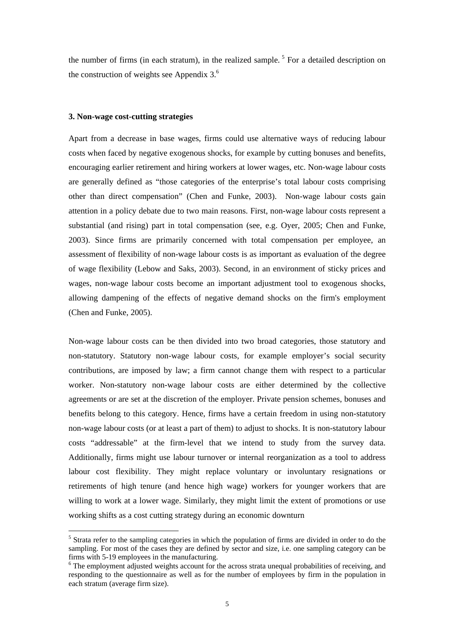the number of firms (in each stratum), in the realized sample.<sup>5</sup> For a detailed description on the construction of weights see Appendix  $3<sup>6</sup>$ 

#### **3. Non-wage cost-cutting strategies**

 $\overline{a}$ 

Apart from a decrease in base wages, firms could use alternative ways of reducing labour costs when faced by negative exogenous shocks, for example by cutting bonuses and benefits, encouraging earlier retirement and hiring workers at lower wages, etc. Non-wage labour costs are generally defined as "those categories of the enterprise's total labour costs comprising other than direct compensation" (Chen and Funke, 2003). Non-wage labour costs gain attention in a policy debate due to two main reasons. First, non-wage labour costs represent a substantial (and rising) part in total compensation (see, e.g. Oyer, 2005; Chen and Funke, 2003). Since firms are primarily concerned with total compensation per employee, an assessment of flexibility of non-wage labour costs is as important as evaluation of the degree of wage flexibility (Lebow and Saks, 2003). Second, in an environment of sticky prices and wages, non-wage labour costs become an important adjustment tool to exogenous shocks, allowing dampening of the effects of negative demand shocks on the firm's employment (Chen and Funke, 2005).

Non-wage labour costs can be then divided into two broad categories, those statutory and non-statutory. Statutory non-wage labour costs, for example employer's social security contributions, are imposed by law; a firm cannot change them with respect to a particular worker. Non-statutory non-wage labour costs are either determined by the collective agreements or are set at the discretion of the employer. Private pension schemes, bonuses and benefits belong to this category. Hence, firms have a certain freedom in using non-statutory non-wage labour costs (or at least a part of them) to adjust to shocks. It is non-statutory labour costs "addressable" at the firm-level that we intend to study from the survey data. Additionally, firms might use labour turnover or internal reorganization as a tool to address labour cost flexibility. They might replace voluntary or involuntary resignations or retirements of high tenure (and hence high wage) workers for younger workers that are willing to work at a lower wage. Similarly, they might limit the extent of promotions or use working shifts as a cost cutting strategy during an economic downturn

<span id="page-5-0"></span><sup>&</sup>lt;sup>5</sup> Strata refer to the sampling categories in which the population of firms are divided in order to do the sampling. For most of the cases they are defined by sector and size, i.e. one sampling category can be firms with 5-19 employees in the manufacturing. 6

<span id="page-5-1"></span><sup>&</sup>lt;sup>6</sup> The employment adjusted weights account for the across strata unequal probabilities of receiving, and responding to the questionnaire as well as for the number of employees by firm in the population in each stratum (average firm size).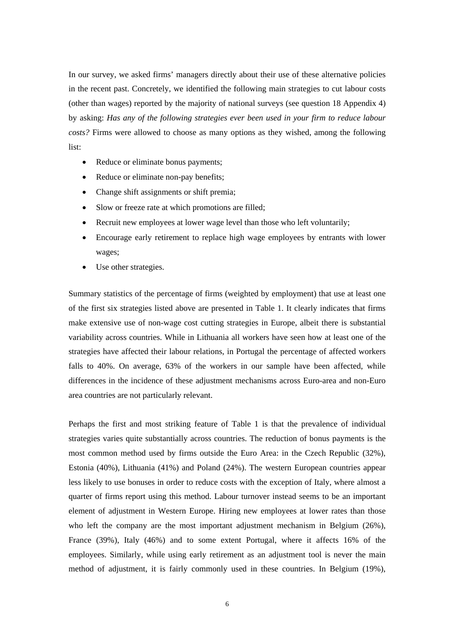In our survey, we asked firms' managers directly about their use of these alternative policies in the recent past. Concretely, we identified the following main strategies to cut labour costs (other than wages) reported by the majority of national surveys (see question 18 Appendix 4) by asking: *Has any of the following strategies ever been used in your firm to reduce labour costs?* Firms were allowed to choose as many options as they wished, among the following list:

- Reduce or eliminate bonus payments;
- Reduce or eliminate non-pay benefits;
- Change shift assignments or shift premia;
- Slow or freeze rate at which promotions are filled;
- Recruit new employees at lower wage level than those who left voluntarily;
- Encourage early retirement to replace high wage employees by entrants with lower wages;
- Use other strategies.

Summary statistics of the percentage of firms (weighted by employment) that use at least one of the first six strategies listed above are presented in Table 1. It clearly indicates that firms make extensive use of non-wage cost cutting strategies in Europe, albeit there is substantial variability across countries. While in Lithuania all workers have seen how at least one of the strategies have affected their labour relations, in Portugal the percentage of affected workers falls to 40%. On average, 63% of the workers in our sample have been affected, while differences in the incidence of these adjustment mechanisms across Euro-area and non-Euro area countries are not particularly relevant.

Perhaps the first and most striking feature of Table 1 is that the prevalence of individual strategies varies quite substantially across countries. The reduction of bonus payments is the most common method used by firms outside the Euro Area: in the Czech Republic (32%), Estonia (40%), Lithuania (41%) and Poland (24%). The western European countries appear less likely to use bonuses in order to reduce costs with the exception of Italy, where almost a quarter of firms report using this method. Labour turnover instead seems to be an important element of adjustment in Western Europe. Hiring new employees at lower rates than those who left the company are the most important adjustment mechanism in Belgium (26%), France (39%), Italy (46%) and to some extent Portugal, where it affects 16% of the employees. Similarly, while using early retirement as an adjustment tool is never the main method of adjustment, it is fairly commonly used in these countries. In Belgium (19%),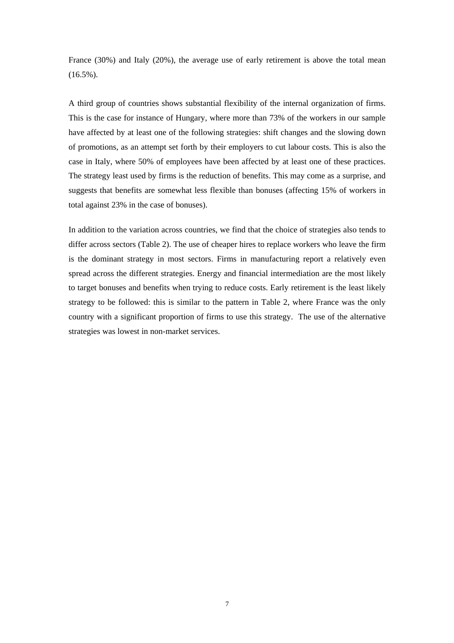France (30%) and Italy (20%), the average use of early retirement is above the total mean  $(16.5\%)$ .

A third group of countries shows substantial flexibility of the internal organization of firms. This is the case for instance of Hungary, where more than 73% of the workers in our sample have affected by at least one of the following strategies: shift changes and the slowing down of promotions, as an attempt set forth by their employers to cut labour costs. This is also the case in Italy, where 50% of employees have been affected by at least one of these practices. The strategy least used by firms is the reduction of benefits. This may come as a surprise, and suggests that benefits are somewhat less flexible than bonuses (affecting 15% of workers in total against 23% in the case of bonuses).

In addition to the variation across countries, we find that the choice of strategies also tends to differ across sectors (Table 2). The use of cheaper hires to replace workers who leave the firm is the dominant strategy in most sectors. Firms in manufacturing report a relatively even spread across the different strategies. Energy and financial intermediation are the most likely to target bonuses and benefits when trying to reduce costs. Early retirement is the least likely strategy to be followed: this is similar to the pattern in Table 2, where France was the only country with a significant proportion of firms to use this strategy. The use of the alternative strategies was lowest in non-market services.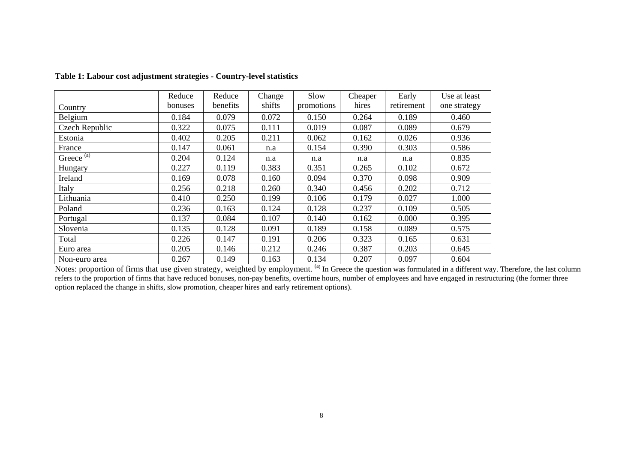|                       | Reduce  | Reduce   | Change | Slow       | Cheaper | Early      | Use at least |
|-----------------------|---------|----------|--------|------------|---------|------------|--------------|
| Country               | bonuses | benefits | shifts | promotions | hires   | retirement | one strategy |
| Belgium               | 0.184   | 0.079    | 0.072  | 0.150      | 0.264   | 0.189      | 0.460        |
| Czech Republic        | 0.322   | 0.075    | 0.111  | 0.019      | 0.087   | 0.089      | 0.679        |
| Estonia               | 0.402   | 0.205    | 0.211  | 0.062      | 0.162   | 0.026      | 0.936        |
| France                | 0.147   | 0.061    | n.a    | 0.154      | 0.390   | 0.303      | 0.586        |
| Greece <sup>(a)</sup> | 0.204   | 0.124    | n.a    | n.a        | n.a     | n.a        | 0.835        |
| Hungary               | 0.227   | 0.119    | 0.383  | 0.351      | 0.265   | 0.102      | 0.672        |
| Ireland               | 0.169   | 0.078    | 0.160  | 0.094      | 0.370   | 0.098      | 0.909        |
| Italy                 | 0.256   | 0.218    | 0.260  | 0.340      | 0.456   | 0.202      | 0.712        |
| Lithuania             | 0.410   | 0.250    | 0.199  | 0.106      | 0.179   | 0.027      | 1.000        |
| Poland                | 0.236   | 0.163    | 0.124  | 0.128      | 0.237   | 0.109      | 0.505        |
| Portugal              | 0.137   | 0.084    | 0.107  | 0.140      | 0.162   | 0.000      | 0.395        |
| Slovenia              | 0.135   | 0.128    | 0.091  | 0.189      | 0.158   | 0.089      | 0.575        |
| Total                 | 0.226   | 0.147    | 0.191  | 0.206      | 0.323   | 0.165      | 0.631        |
| Euro area             | 0.205   | 0.146    | 0.212  | 0.246      | 0.387   | 0.203      | 0.645        |
| Non-euro area         | 0.267   | 0.149    | 0.163  | 0.134      | 0.207   | 0.097      | 0.604        |

# **Table 1: Labour cost adjustment strategies - Country-level statistics**

Notes: proportion of firms that use given strategy, weighted by employment. <sup>(a)</sup> In Greece the question was formulated in a different way. Therefore, the last column refers to the proportion of firms that have reduced bonuses, non-pay benefits, overtime hours, number of employees and have engaged in restructuring (the former three option replaced the change in shifts, slow promotion, cheaper hires and early retirement options).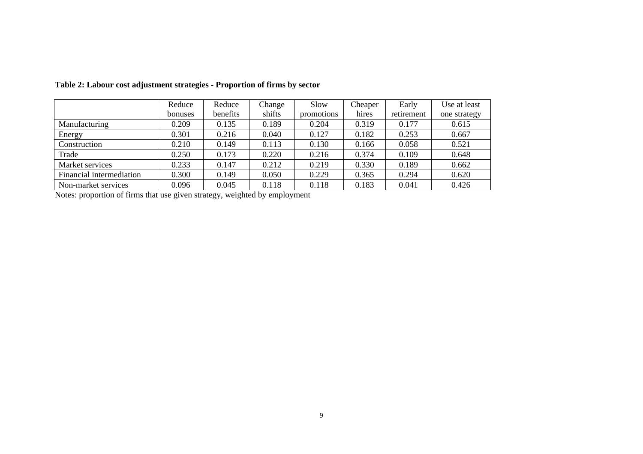|                          | Reduce  | Reduce   | Change | Slow       | Cheaper | Early      | Use at least |
|--------------------------|---------|----------|--------|------------|---------|------------|--------------|
|                          | bonuses | benefits | shifts | promotions | hires   | retirement | one strategy |
| Manufacturing            | 0.209   | 0.135    | 0.189  | 0.204      | 0.319   | 0.177      | 0.615        |
| Energy                   | 0.301   | 0.216    | 0.040  | 0.127      | 0.182   | 0.253      | 0.667        |
| Construction             | 0.210   | 0.149    | 0.113  | 0.130      | 0.166   | 0.058      | 0.521        |
| Trade                    | 0.250   | 0.173    | 0.220  | 0.216      | 0.374   | 0.109      | 0.648        |
| Market services          | 0.233   | 0.147    | 0.212  | 0.219      | 0.330   | 0.189      | 0.662        |
| Financial intermediation | 0.300   | 0.149    | 0.050  | 0.229      | 0.365   | 0.294      | 0.620        |
| Non-market services      | 0.096   | 0.045    | 0.118  | 0.118      | 0.183   | 0.041      | 0.426        |

**Table 2: Labour cost adjustment strategies - Proportion of firms by sector**

Notes: proportion of firms that use given strategy, weighted by employment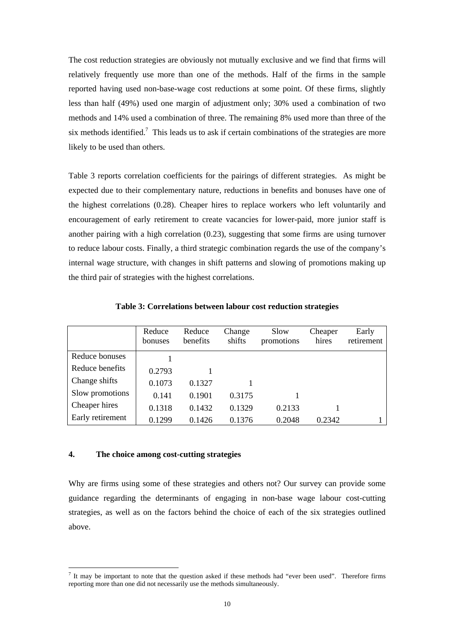The cost reduction strategies are obviously not mutually exclusive and we find that firms will relatively frequently use more than one of the methods. Half of the firms in the sample reported having used non-base-wage cost reductions at some point. Of these firms, slightly less than half (49%) used one margin of adjustment only; 30% used a combination of two methods and 14% used a combination of three. The remaining 8% used more than three of the six methods identified.<sup>[7](#page-10-0)</sup> This leads us to ask if certain combinations of the strategies are more likely to be used than others.

Table 3 reports correlation coefficients for the pairings of different strategies. As might be expected due to their complementary nature, reductions in benefits and bonuses have one of the highest correlations (0.28). Cheaper hires to replace workers who left voluntarily and encouragement of early retirement to create vacancies for lower-paid, more junior staff is another pairing with a high correlation (0.23), suggesting that some firms are using turnover to reduce labour costs. Finally, a third strategic combination regards the use of the company's internal wage structure, with changes in shift patterns and slowing of promotions making up the third pair of strategies with the highest correlations.

|                  | Reduce<br>bonuses | Reduce<br>benefits | Change<br>shifts | Slow<br>promotions | Cheaper<br>hires | Early<br>retirement |
|------------------|-------------------|--------------------|------------------|--------------------|------------------|---------------------|
| Reduce bonuses   |                   |                    |                  |                    |                  |                     |
| Reduce benefits  | 0.2793            |                    |                  |                    |                  |                     |
| Change shifts    | 0.1073            | 0.1327             |                  |                    |                  |                     |
| Slow promotions  | 0.141             | 0.1901             | 0.3175           |                    |                  |                     |
| Cheaper hires    | 0.1318            | 0.1432             | 0.1329           | 0.2133             |                  |                     |
| Early retirement | 0.1299            | 0.1426             | 0.1376           | 0.2048             | 0.2342           |                     |

**Table 3: Correlations between labour cost reduction strategies** 

# **4. The choice among cost-cutting strategies**

 $\overline{a}$ 

Why are firms using some of these strategies and others not? Our survey can provide some guidance regarding the determinants of engaging in non-base wage labour cost-cutting strategies, as well as on the factors behind the choice of each of the six strategies outlined above.

<span id="page-10-0"></span> $<sup>7</sup>$  It may be important to note that the question asked if these methods had "ever been used". Therefore firms</sup> reporting more than one did not necessarily use the methods simultaneously.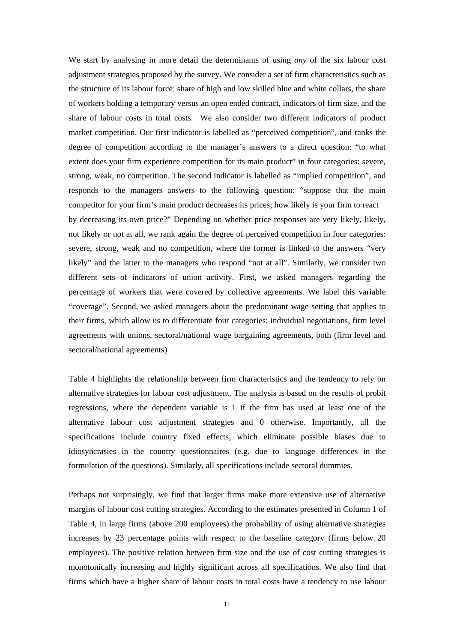We start by analysing in more detail the determinants of using *any* of the six labour cost adjustment strategies proposed by the survey. We consider a set of firm characteristics such as the structure of its labour force: share of high and low skilled blue and white collars, the share of workers holding a temporary versus an open ended contract, indicators of firm size, and the share of labour costs in total costs. We also consider two different indicators of product market competition. Our first indicator is labelled as "perceived competition", and ranks the degree of competition according to the manager's answers to a direct question: "to what extent does your firm experience competition for its main product" in four categories: severe, strong, weak, no competition. The second indicator is labelled as "implied competition", and responds to the managers answers to the following question: "suppose that the main competitor for your firm's main product decreases its prices; how likely is your firm to react by decreasing its own price?" Depending on whether price responses are very likely, likely, not likely or not at all, we rank again the degree of perceived competition in four categories: severe, strong, weak and no competition, where the former is linked to the answers "very likely" and the latter to the managers who respond "not at all". Similarly, we consider two different sets of indicators of union activity. First, we asked managers regarding the percentage of workers that were covered by collective agreements. We label this variable "coverage". Second, we asked managers about the predominant wage setting that applies to their firms, which allow us to differentiate four categories: individual negotiations, firm level agreements with unions, sectoral/national wage bargaining agreements, both (firm level and sectoral/national agreements)

Table 4 highlights the relationship between firm characteristics and the tendency to rely on alternative strategies for labour cost adjustment. The analysis is based on the results of probit regressions, where the dependent variable is 1 if the firm has used at least one of the alternative labour cost adjustment strategies and 0 otherwise. Importantly, all the specifications include country fixed effects, which eliminate possible biases due to idiosyncrasies in the country questionnaires (e.g. due to language differences in the formulation of the questions). Similarly, all specifications include sectoral dummies.

Perhaps not surprisingly, we find that larger firms make more extensive use of alternative margins of labour cost cutting strategies. According to the estimates presented in Column 1 of Table 4, in large firms (above 200 employees) the probability of using alternative strategies increases by 23 percentage points with respect to the baseline category (firms below 20 employees). The positive relation between firm size and the use of cost cutting strategies is monotonically increasing and highly significant across all specifications. We also find that firms which have a higher share of labour costs in total costs have a tendency to use labour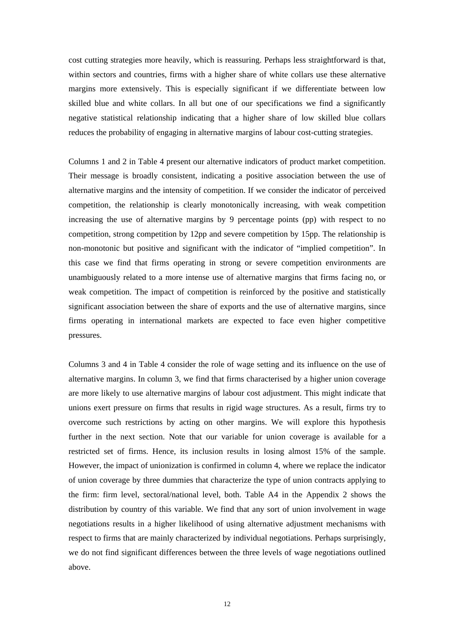cost cutting strategies more heavily, which is reassuring. Perhaps less straightforward is that, within sectors and countries, firms with a higher share of white collars use these alternative margins more extensively. This is especially significant if we differentiate between low skilled blue and white collars. In all but one of our specifications we find a significantly negative statistical relationship indicating that a higher share of low skilled blue collars reduces the probability of engaging in alternative margins of labour cost-cutting strategies.

Columns 1 and 2 in Table 4 present our alternative indicators of product market competition. Their message is broadly consistent, indicating a positive association between the use of alternative margins and the intensity of competition. If we consider the indicator of perceived competition, the relationship is clearly monotonically increasing, with weak competition increasing the use of alternative margins by 9 percentage points (pp) with respect to no competition, strong competition by 12pp and severe competition by 15pp. The relationship is non-monotonic but positive and significant with the indicator of "implied competition". In this case we find that firms operating in strong or severe competition environments are unambiguously related to a more intense use of alternative margins that firms facing no, or weak competition. The impact of competition is reinforced by the positive and statistically significant association between the share of exports and the use of alternative margins, since firms operating in international markets are expected to face even higher competitive pressures.

Columns 3 and 4 in Table 4 consider the role of wage setting and its influence on the use of alternative margins. In column 3, we find that firms characterised by a higher union coverage are more likely to use alternative margins of labour cost adjustment. This might indicate that unions exert pressure on firms that results in rigid wage structures. As a result, firms try to overcome such restrictions by acting on other margins. We will explore this hypothesis further in the next section. Note that our variable for union coverage is available for a restricted set of firms. Hence, its inclusion results in losing almost 15% of the sample. However, the impact of unionization is confirmed in column 4, where we replace the indicator of union coverage by three dummies that characterize the type of union contracts applying to the firm: firm level, sectoral/national level, both. Table A4 in the Appendix 2 shows the distribution by country of this variable. We find that any sort of union involvement in wage negotiations results in a higher likelihood of using alternative adjustment mechanisms with respect to firms that are mainly characterized by individual negotiations. Perhaps surprisingly, we do not find significant differences between the three levels of wage negotiations outlined above.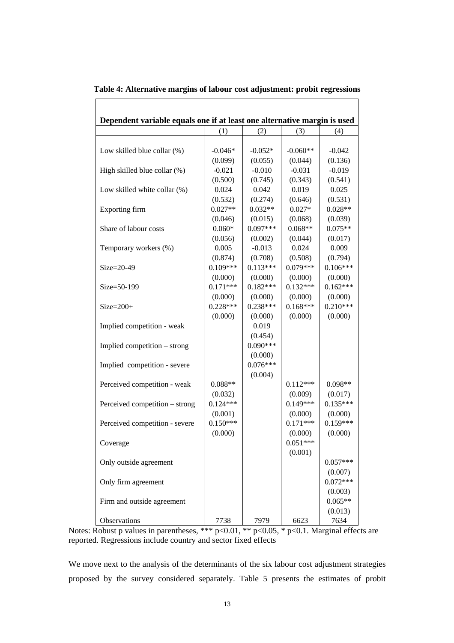| Dependent variable equals one if at least one alternative margin is used |                       |            |                       |            |
|--------------------------------------------------------------------------|-----------------------|------------|-----------------------|------------|
|                                                                          | (1)                   | (2)        | (3)                   | (4)        |
|                                                                          |                       |            |                       |            |
| Low skilled blue collar (%)                                              | $-0.046*$             | $-0.052*$  | $-0.060**$            | $-0.042$   |
|                                                                          | (0.099)               | (0.055)    | (0.044)               | (0.136)    |
| High skilled blue collar (%)                                             | $-0.021$              | $-0.010$   | $-0.031$              | $-0.019$   |
|                                                                          | (0.500)               | (0.745)    | (0.343)               | (0.541)    |
| Low skilled white collar (%)                                             | 0.024                 | 0.042      | 0.019                 | 0.025      |
|                                                                          | (0.532)               | (0.274)    | (0.646)               | (0.531)    |
| Exporting firm                                                           | $0.027**$             | $0.032**$  | $0.027*$              | $0.028**$  |
|                                                                          | (0.046)               | (0.015)    | (0.068)               | (0.039)    |
| Share of labour costs                                                    | $0.060*$              | $0.097***$ | $0.068**$             | $0.075**$  |
|                                                                          | (0.056)               | (0.002)    | (0.044)               | (0.017)    |
| Temporary workers (%)                                                    | 0.005                 | $-0.013$   | 0.024                 | 0.009      |
|                                                                          | (0.874)               | (0.708)    | (0.508)               | (0.794)    |
| $Size = 20-49$                                                           | $0.109***$            | $0.113***$ | $0.079***$            | $0.106***$ |
|                                                                          | (0.000)               | (0.000)    | (0.000)               | (0.000)    |
| $Size = 50-199$                                                          | $0.171***$            | $0.182***$ | $0.132***$            | $0.162***$ |
|                                                                          | (0.000)               | (0.000)    | (0.000)               | (0.000)    |
| $Size = 200+$                                                            | $0.228***$            | $0.238***$ | $0.168***$            | $0.210***$ |
|                                                                          | (0.000)               | (0.000)    | (0.000)               | (0.000)    |
| Implied competition - weak                                               |                       | 0.019      |                       |            |
|                                                                          |                       | (0.454)    |                       |            |
| Implied competition – strong                                             |                       | $0.090***$ |                       |            |
|                                                                          |                       | (0.000)    |                       |            |
| Implied competition - severe                                             |                       | $0.076***$ |                       |            |
|                                                                          |                       | (0.004)    |                       |            |
|                                                                          | $0.088**$             |            | $0.112***$            | $0.098**$  |
| Perceived competition - weak                                             |                       |            |                       |            |
|                                                                          | (0.032)<br>$0.124***$ |            | (0.009)<br>$0.149***$ | (0.017)    |
| Perceived competition - strong                                           |                       |            |                       | $0.135***$ |
|                                                                          | (0.001)               |            | (0.000)               | (0.000)    |
| Perceived competition - severe                                           | $0.150***$            |            | $0.171***$            | $0.159***$ |
|                                                                          | (0.000)               |            | (0.000)               | (0.000)    |
| Coverage                                                                 |                       |            | $0.051***$            |            |
|                                                                          |                       |            | (0.001)               |            |
| Only outside agreement                                                   |                       |            |                       | $0.057***$ |
|                                                                          |                       |            |                       | (0.007)    |
| Only firm agreement                                                      |                       |            |                       | $0.072***$ |
|                                                                          |                       |            |                       | (0.003)    |
| Firm and outside agreement                                               |                       |            |                       | $0.065**$  |
|                                                                          |                       |            |                       | (0.013)    |
| Observations                                                             | 7738                  | 7979       | 6623                  | 7634       |

**Table 4: Alternative margins of labour cost adjustment: probit regressions** 

 $\Gamma$ 

Notes: Robust p values in parentheses, \*\*\*  $p<0.01$ , \*\*  $p<0.05$ , \*  $p<0.1$ . Marginal effects are reported. Regressions include country and sector fixed effects

We move next to the analysis of the determinants of the six labour cost adjustment strategies proposed by the survey considered separately. Table 5 presents the estimates of probit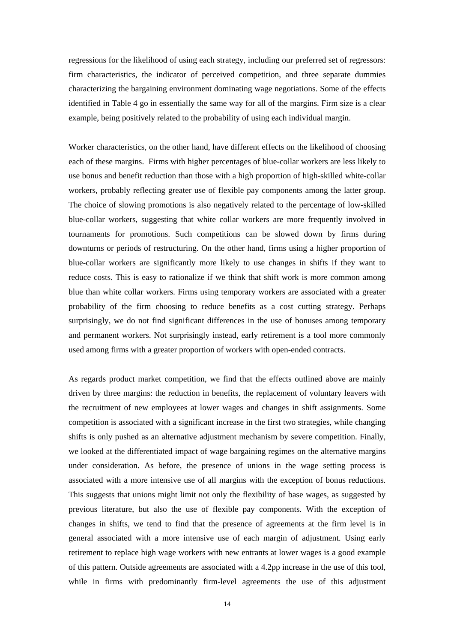regressions for the likelihood of using each strategy, including our preferred set of regressors: firm characteristics, the indicator of perceived competition, and three separate dummies characterizing the bargaining environment dominating wage negotiations. Some of the effects identified in Table 4 go in essentially the same way for all of the margins. Firm size is a clear example, being positively related to the probability of using each individual margin.

Worker characteristics, on the other hand, have different effects on the likelihood of choosing each of these margins. Firms with higher percentages of blue-collar workers are less likely to use bonus and benefit reduction than those with a high proportion of high-skilled white-collar workers, probably reflecting greater use of flexible pay components among the latter group. The choice of slowing promotions is also negatively related to the percentage of low-skilled blue-collar workers, suggesting that white collar workers are more frequently involved in tournaments for promotions. Such competitions can be slowed down by firms during downturns or periods of restructuring. On the other hand, firms using a higher proportion of blue-collar workers are significantly more likely to use changes in shifts if they want to reduce costs. This is easy to rationalize if we think that shift work is more common among blue than white collar workers. Firms using temporary workers are associated with a greater probability of the firm choosing to reduce benefits as a cost cutting strategy. Perhaps surprisingly, we do not find significant differences in the use of bonuses among temporary and permanent workers. Not surprisingly instead, early retirement is a tool more commonly used among firms with a greater proportion of workers with open-ended contracts.

As regards product market competition, we find that the effects outlined above are mainly driven by three margins: the reduction in benefits, the replacement of voluntary leavers with the recruitment of new employees at lower wages and changes in shift assignments. Some competition is associated with a significant increase in the first two strategies, while changing shifts is only pushed as an alternative adjustment mechanism by severe competition. Finally, we looked at the differentiated impact of wage bargaining regimes on the alternative margins under consideration. As before, the presence of unions in the wage setting process is associated with a more intensive use of all margins with the exception of bonus reductions. This suggests that unions might limit not only the flexibility of base wages, as suggested by previous literature, but also the use of flexible pay components. With the exception of changes in shifts, we tend to find that the presence of agreements at the firm level is in general associated with a more intensive use of each margin of adjustment. Using early retirement to replace high wage workers with new entrants at lower wages is a good example of this pattern. Outside agreements are associated with a 4.2pp increase in the use of this tool, while in firms with predominantly firm-level agreements the use of this adjustment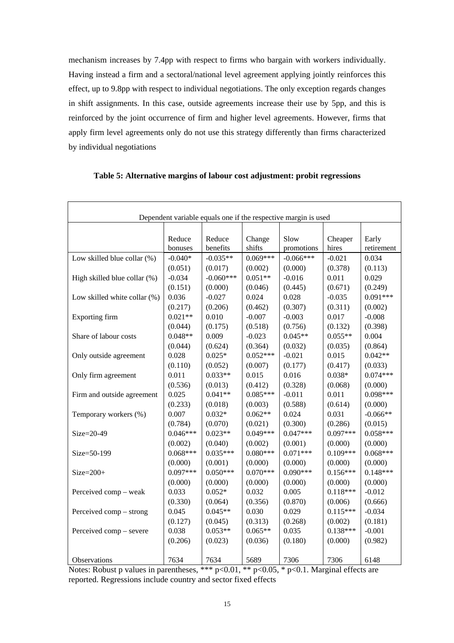mechanism increases by 7.4pp with respect to firms who bargain with workers individually. Having instead a firm and a sectoral/national level agreement applying jointly reinforces this effect, up to 9.8pp with respect to individual negotiations. The only exception regards changes in shift assignments. In this case, outside agreements increase their use by 5pp, and this is reinforced by the joint occurrence of firm and higher level agreements. However, firms that apply firm level agreements only do not use this strategy differently than firms characterized by individual negotiations

| Dependent variable equals one if the respective margin is used |                   |                    |                  |                    |                  |                     |
|----------------------------------------------------------------|-------------------|--------------------|------------------|--------------------|------------------|---------------------|
|                                                                |                   |                    |                  |                    |                  |                     |
|                                                                | Reduce<br>bonuses | Reduce<br>benefits | Change<br>shifts | Slow<br>promotions | Cheaper<br>hires | Early<br>retirement |
| Low skilled blue collar (%)                                    | $-0.040*$         | $-0.035**$         | $0.069***$       | $-0.066***$        | $-0.021$         | 0.034               |
|                                                                | (0.051)           | (0.017)            | (0.002)          | (0.000)            | (0.378)          | (0.113)             |
| High skilled blue collar (%)                                   | $-0.034$          | $-0.060***$        | $0.051**$        | $-0.016$           | 0.011            | 0.029               |
|                                                                | (0.151)           | (0.000)            | (0.046)          | (0.445)            | (0.671)          | (0.249)             |
| Low skilled white collar (%)                                   | 0.036             | $-0.027$           | 0.024            | 0.028              | $-0.035$         | $0.091***$          |
|                                                                | (0.217)           | (0.206)            | (0.462)          | (0.307)            | (0.311)          | (0.002)             |
| Exporting firm                                                 | $0.021**$         | 0.010              | $-0.007$         | $-0.003$           | 0.017            | $-0.008$            |
|                                                                | (0.044)           | (0.175)            | (0.518)          | (0.756)            | (0.132)          | (0.398)             |
| Share of labour costs                                          | $0.048**$         | 0.009              | $-0.023$         | $0.045**$          | $0.055**$        | 0.004               |
|                                                                | (0.044)           | (0.624)            | (0.364)          | (0.032)            | (0.035)          | (0.864)             |
| Only outside agreement                                         | 0.028             | $0.025*$           | $0.052***$       | $-0.021$           | 0.015            | $0.042**$           |
|                                                                | (0.110)           | (0.052)            | (0.007)          | (0.177)            | (0.417)          | (0.033)             |
| Only firm agreement                                            | 0.011             | $0.033**$          | 0.015            | 0.016              | $0.038*$         | $0.074***$          |
|                                                                | (0.536)           | (0.013)            | (0.412)          | (0.328)            | (0.068)          | (0.000)             |
| Firm and outside agreement                                     | 0.025             | $0.041**$          | $0.085***$       | $-0.011$           | 0.011            | $0.098***$          |
|                                                                | (0.233)           | (0.018)            | (0.003)          | (0.588)            | (0.614)          | (0.000)             |
| Temporary workers (%)                                          | 0.007             | $0.032*$           | $0.062**$        | 0.024              | 0.031            | $-0.066**$          |
|                                                                | (0.784)           | (0.070)            | (0.021)          | (0.300)            | (0.286)          | (0.015)             |
| $Size = 20-49$                                                 | $0.046***$        | $0.023**$          | $0.049***$       | $0.047***$         | $0.097***$       | $0.058***$          |
|                                                                | (0.002)           | (0.040)            | (0.002)          | (0.001)            | (0.000)          | (0.000)             |
| Size=50-199                                                    | $0.068***$        | $0.035***$         | $0.080***$       | $0.071***$         | $0.109***$       | $0.068***$          |
|                                                                | (0.000)           | (0.001)            | (0.000)          | (0.000)            | (0.000)          | (0.000)             |
| $Size = 200+$                                                  | $0.097***$        | $0.050***$         | $0.070***$       | $0.090***$         | $0.156***$       | $0.148***$          |
|                                                                | (0.000)           | (0.000)            | (0.000)          | (0.000)            | (0.000)          | (0.000)             |
| Perceived comp - weak                                          | 0.033             | $0.052*$           | 0.032            | 0.005              | $0.118***$       | $-0.012$            |
|                                                                | (0.330)           | (0.064)            | (0.356)          | (0.870)            | (0.006)          | (0.666)             |
| Perceived comp – strong                                        | 0.045             | $0.045**$          | 0.030            | 0.029              | $0.115***$       | $-0.034$            |
|                                                                | (0.127)           | (0.045)            | (0.313)          | (0.268)            | (0.002)          | (0.181)             |
| Perceived comp – severe                                        | 0.038             | $0.053**$          | $0.065**$        | 0.035              | $0.138***$       | $-0.001$            |
|                                                                | (0.206)           | (0.023)            | (0.036)          | (0.180)            | (0.000)          | (0.982)             |
| Observations                                                   | 7634              | 7634               | 5689             | 7306               | 7306             | 6148                |

# **Table 5: Alternative margins of labour cost adjustment: probit regressions**

Notes: Robust p values in parentheses, \*\*\*  $p<0.01$ , \*\*  $p<0.05$ , \*  $p<0.1$ . Marginal effects are reported. Regressions include country and sector fixed effects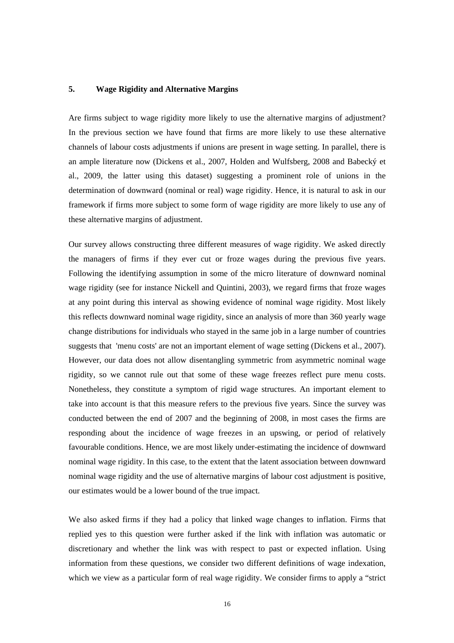# **5. Wage Rigidity and Alternative Margins**

Are firms subject to wage rigidity more likely to use the alternative margins of adjustment? In the previous section we have found that firms are more likely to use these alternative channels of labour costs adjustments if unions are present in wage setting. In parallel, there is an ample literature now (Dickens et al., 2007, Holden and Wulfsberg, 2008 and Babecký et al., 2009, the latter using this dataset) suggesting a prominent role of unions in the determination of downward (nominal or real) wage rigidity. Hence, it is natural to ask in our framework if firms more subject to some form of wage rigidity are more likely to use any of these alternative margins of adjustment.

Our survey allows constructing three different measures of wage rigidity. We asked directly the managers of firms if they ever cut or froze wages during the previous five years. Following the identifying assumption in some of the micro literature of downward nominal wage rigidity (see for instance Nickell and Quintini, 2003), we regard firms that froze wages at any point during this interval as showing evidence of nominal wage rigidity. Most likely this reflects downward nominal wage rigidity, since an analysis of more than 360 yearly wage change distributions for individuals who stayed in the same job in a large number of countries suggests that 'menu costs' are not an important element of wage setting (Dickens et al., 2007). However, our data does not allow disentangling symmetric from asymmetric nominal wage rigidity, so we cannot rule out that some of these wage freezes reflect pure menu costs. Nonetheless, they constitute a symptom of rigid wage structures. An important element to take into account is that this measure refers to the previous five years. Since the survey was conducted between the end of 2007 and the beginning of 2008, in most cases the firms are responding about the incidence of wage freezes in an upswing, or period of relatively favourable conditions. Hence, we are most likely under-estimating the incidence of downward nominal wage rigidity. In this case, to the extent that the latent association between downward nominal wage rigidity and the use of alternative margins of labour cost adjustment is positive, our estimates would be a lower bound of the true impact.

We also asked firms if they had a policy that linked wage changes to inflation. Firms that replied yes to this question were further asked if the link with inflation was automatic or discretionary and whether the link was with respect to past or expected inflation. Using information from these questions, we consider two different definitions of wage indexation, which we view as a particular form of real wage rigidity. We consider firms to apply a "strict"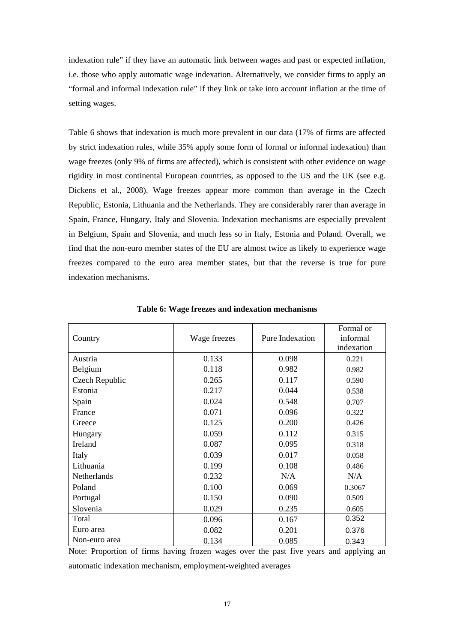indexation rule" if they have an automatic link between wages and past or expected inflation, i.e. those who apply automatic wage indexation. Alternatively, we consider firms to apply an "formal and informal indexation rule" if they link or take into account inflation at the time of setting wages.

Table 6 shows that indexation is much more prevalent in our data (17% of firms are affected by strict indexation rules, while 35% apply some form of formal or informal indexation) than wage freezes (only 9% of firms are affected), which is consistent with other evidence on wage rigidity in most continental European countries, as opposed to the US and the UK (see e.g. Dickens et al., 2008). Wage freezes appear more common than average in the Czech Republic, Estonia, Lithuania and the Netherlands. They are considerably rarer than average in Spain, France, Hungary, Italy and Slovenia. Indexation mechanisms are especially prevalent in Belgium, Spain and Slovenia, and much less so in Italy, Estonia and Poland. Overall, we find that the non-euro member states of the EU are almost twice as likely to experience wage freezes compared to the euro area member states, but that the reverse is true for pure indexation mechanisms.

| Country        | Wage freezes | Pure Indexation | Formal or<br>informal<br>indexation |
|----------------|--------------|-----------------|-------------------------------------|
| Austria        | 0.133        | 0.098           | 0.221                               |
| Belgium        | 0.118        | 0.982           | 0.982                               |
| Czech Republic | 0.265        | 0.117           | 0.590                               |
| Estonia        | 0.217        | 0.044           | 0.538                               |
| Spain          | 0.024        | 0.548           | 0.707                               |
| France         | 0.071        | 0.096           | 0.322                               |
| Greece         | 0.125        | 0.200           | 0.426                               |
| Hungary        | 0.059        | 0.112           | 0.315                               |
| Ireland        | 0.087        | 0.095           | 0.318                               |
| Italy          | 0.039        | 0.017           | 0.058                               |
| Lithuania      | 0.199        | 0.108           | 0.486                               |
| Netherlands    | 0.232        | N/A             | N/A                                 |
| Poland         | 0.100        | 0.069           | 0.3067                              |
| Portugal       | 0.150        | 0.090           | 0.509                               |
| Slovenia       | 0.029        | 0.235           | 0.605                               |
| Total          | 0.096        | 0.167           | 0.352                               |
| Euro area      | 0.082        | 0.201           | 0.376                               |
| Non-euro area  | 0.134        | 0.085           | 0.343                               |

**Table 6: Wage freezes and indexation mechanisms**

Note: Proportion of firms having frozen wages over the past five years and applying an automatic indexation mechanism, employment-weighted averages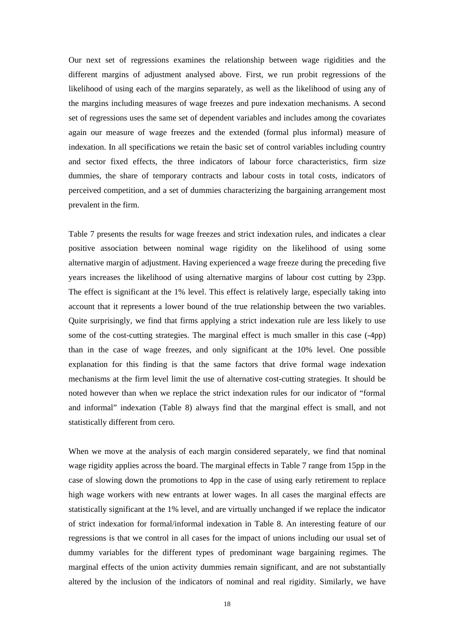Our next set of regressions examines the relationship between wage rigidities and the different margins of adjustment analysed above. First, we run probit regressions of the likelihood of using each of the margins separately, as well as the likelihood of using any of the margins including measures of wage freezes and pure indexation mechanisms. A second set of regressions uses the same set of dependent variables and includes among the covariates again our measure of wage freezes and the extended (formal plus informal) measure of indexation. In all specifications we retain the basic set of control variables including country and sector fixed effects, the three indicators of labour force characteristics, firm size dummies, the share of temporary contracts and labour costs in total costs, indicators of perceived competition, and a set of dummies characterizing the bargaining arrangement most prevalent in the firm.

Table 7 presents the results for wage freezes and strict indexation rules, and indicates a clear positive association between nominal wage rigidity on the likelihood of using some alternative margin of adjustment. Having experienced a wage freeze during the preceding five years increases the likelihood of using alternative margins of labour cost cutting by 23pp. The effect is significant at the 1% level. This effect is relatively large, especially taking into account that it represents a lower bound of the true relationship between the two variables. Quite surprisingly, we find that firms applying a strict indexation rule are less likely to use some of the cost-cutting strategies. The marginal effect is much smaller in this case (-4pp) than in the case of wage freezes, and only significant at the 10% level. One possible explanation for this finding is that the same factors that drive formal wage indexation mechanisms at the firm level limit the use of alternative cost-cutting strategies. It should be noted however than when we replace the strict indexation rules for our indicator of "formal and informal" indexation (Table 8) always find that the marginal effect is small, and not statistically different from cero.

When we move at the analysis of each margin considered separately, we find that nominal wage rigidity applies across the board. The marginal effects in Table 7 range from 15pp in the case of slowing down the promotions to 4pp in the case of using early retirement to replace high wage workers with new entrants at lower wages. In all cases the marginal effects are statistically significant at the 1% level, and are virtually unchanged if we replace the indicator of strict indexation for formal/informal indexation in Table 8. An interesting feature of our regressions is that we control in all cases for the impact of unions including our usual set of dummy variables for the different types of predominant wage bargaining regimes. The marginal effects of the union activity dummies remain significant, and are not substantially altered by the inclusion of the indicators of nominal and real rigidity. Similarly, we have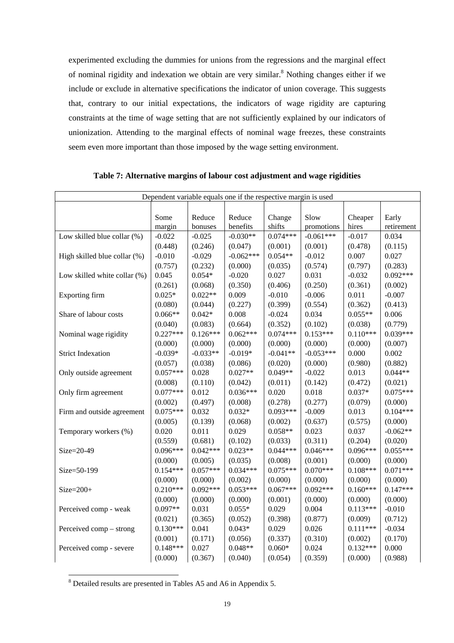experimented excluding the dummies for unions from the regressions and the marginal effect of nominal rigidity and indexation we obtain are very similar.<sup>[8](#page-19-0)</sup> Nothing changes either if we include or exclude in alternative specifications the indicator of union coverage. This suggests that, contrary to our initial expectations, the indicators of wage rigidity are capturing constraints at the time of wage setting that are not sufficiently explained by our indicators of unionization. Attending to the marginal effects of nominal wage freezes, these constraints seem even more important than those imposed by the wage setting environment.

| Dependent variable equals one if the respective margin is used |            |            |             |            |             |            |            |
|----------------------------------------------------------------|------------|------------|-------------|------------|-------------|------------|------------|
|                                                                |            |            |             |            |             |            |            |
|                                                                |            |            |             |            |             |            |            |
|                                                                | Some       | Reduce     | Reduce      | Change     | Slow        | Cheaper    | Early      |
|                                                                | margin     | bonuses    | benefits    | shifts     | promotions  | hires      | retirement |
| Low skilled blue collar (%)                                    | $-0.022$   | $-0.025$   | $-0.030**$  | $0.074***$ | $-0.061***$ | $-0.017$   | 0.034      |
|                                                                | (0.448)    | (0.246)    | (0.047)     | (0.001)    | (0.001)     | (0.478)    | (0.115)    |
| High skilled blue collar (%)                                   | $-0.010$   | $-0.029$   | $-0.062***$ | $0.054**$  | $-0.012$    | 0.007      | 0.027      |
|                                                                | (0.757)    | (0.232)    | (0.000)     | (0.035)    | (0.574)     | (0.797)    | (0.283)    |
| Low skilled white collar (%)                                   | 0.045      | $0.054*$   | $-0.020$    | 0.027      | 0.031       | $-0.032$   | $0.092***$ |
|                                                                | (0.261)    | (0.068)    | (0.350)     | (0.406)    | (0.250)     | (0.361)    | (0.002)    |
| <b>Exporting firm</b>                                          | $0.025*$   | $0.022**$  | 0.009       | $-0.010$   | $-0.006$    | 0.011      | $-0.007$   |
|                                                                | (0.080)    | (0.044)    | (0.227)     | (0.399)    | (0.554)     | (0.362)    | (0.413)    |
| Share of labour costs                                          | $0.066**$  | $0.042*$   | 0.008       | $-0.024$   | 0.034       | $0.055**$  | 0.006      |
|                                                                | (0.040)    | (0.083)    | (0.664)     | (0.352)    | (0.102)     | (0.038)    | (0.779)    |
| Nominal wage rigidity                                          | $0.227***$ | $0.126***$ | $0.062***$  | $0.074***$ | $0.153***$  | $0.110***$ | $0.039***$ |
|                                                                | (0.000)    | (0.000)    | (0.000)     | (0.000)    | (0.000)     | (0.000)    | (0.007)    |
| <b>Strict Indexation</b>                                       | $-0.039*$  | $-0.033**$ | $-0.019*$   | $-0.041**$ | $-0.053***$ | 0.000      | 0.002      |
|                                                                | (0.057)    | (0.038)    | (0.086)     | (0.020)    | (0.000)     | (0.980)    | (0.882)    |
| Only outside agreement                                         | $0.057***$ | 0.028      | $0.027**$   | $0.049**$  | $-0.022$    | 0.013      | $0.044**$  |
|                                                                | (0.008)    | (0.110)    | (0.042)     | (0.011)    | (0.142)     | (0.472)    | (0.021)    |
| Only firm agreement                                            | $0.077***$ | 0.012      | $0.036***$  | 0.020      | 0.018       | $0.037*$   | $0.075***$ |
|                                                                | (0.002)    | (0.497)    | (0.008)     | (0.278)    | (0.277)     | (0.079)    | (0.000)    |
| Firm and outside agreement                                     | $0.075***$ | 0.032      | $0.032*$    | $0.093***$ | $-0.009$    | 0.013      | $0.104***$ |
|                                                                | (0.005)    | (0.139)    | (0.068)     | (0.002)    | (0.637)     | (0.575)    | (0.000)    |
| Temporary workers (%)                                          | 0.020      | 0.011      | 0.029       | $0.058**$  | 0.023       | 0.037      | $-0.062**$ |
|                                                                | (0.559)    | (0.681)    | (0.102)     | (0.033)    | (0.311)     | (0.204)    | (0.020)    |
| Size=20-49                                                     | $0.096***$ | $0.042***$ | $0.023**$   | $0.044***$ | $0.046***$  | $0.096***$ | $0.055***$ |
|                                                                | (0.000)    | (0.005)    | (0.035)     | (0.008)    | (0.001)     | (0.000)    | (0.000)    |
| Size=50-199                                                    | $0.154***$ | $0.057***$ | $0.034***$  | $0.075***$ | $0.070***$  | $0.108***$ | $0.071***$ |
|                                                                | (0.000)    | (0.000)    | (0.002)     | (0.000)    | (0.000)     | (0.000)    | (0.000)    |
| $Size = 200+$                                                  | $0.210***$ | $0.092***$ | $0.053***$  | $0.067***$ | $0.092***$  | $0.160***$ | $0.147***$ |
|                                                                | (0.000)    | (0.000)    | (0.000)     | (0.001)    | (0.000)     | (0.000)    | (0.000)    |
| Perceived comp - weak                                          | $0.097**$  | 0.031      | $0.055*$    | 0.029      | 0.004       | $0.113***$ | $-0.010$   |
|                                                                | (0.021)    | (0.365)    | (0.052)     | (0.398)    | (0.877)     | (0.009)    | (0.712)    |
| Perceived comp – strong                                        | $0.130***$ | 0.041      | $0.043*$    | 0.029      | 0.026       | $0.111***$ | $-0.034$   |
|                                                                | (0.001)    | (0.171)    | (0.056)     | (0.337)    | (0.310)     | (0.002)    | (0.170)    |
| Perceived comp - severe                                        | $0.148***$ | 0.027      | $0.048**$   | $0.060*$   | 0.024       | $0.132***$ | 0.000      |
|                                                                | (0.000)    | (0.367)    | (0.040)     | (0.054)    | (0.359)     | (0.000)    | (0.988)    |

**Table 7: Alternative margins of labour cost adjustment and wage rigidities** 

<span id="page-19-0"></span> 8 Detailed results are presented in Tables A5 and A6 in Appendix 5.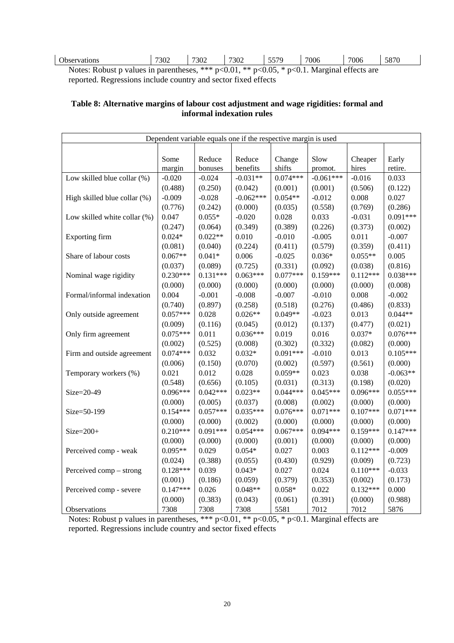| $\sim$<br>servations<br>$\bigcup$ DSC. | 7302 | 7302 | 7200<br>30Z | 5570<br>ັ | 7006 | 7006 | 5070<br>، ەد |
|----------------------------------------|------|------|-------------|-----------|------|------|--------------|

Notes: Robust p values in parentheses, \*\*\* p<0.01, \*\* p<0.05, \* p<0.1. Marginal effects are reported. Regressions include country and sector fixed effects

# **Table 8: Alternative margins of labour cost adjustment and wage rigidities: formal and informal indexation rules**

| Dependent variable equals one if the respective margin is used |            |            |             |            |             |            |            |
|----------------------------------------------------------------|------------|------------|-------------|------------|-------------|------------|------------|
|                                                                |            |            |             |            |             |            |            |
|                                                                | Some       | Reduce     | Reduce      | Change     | Slow        | Cheaper    | Early      |
|                                                                | margin     | bonuses    | benefits    | shifts     | promot.     | hires      | retire.    |
| Low skilled blue collar (%)                                    | $-0.020$   | $-0.024$   | $-0.031**$  | $0.074***$ | $-0.061***$ | $-0.016$   | 0.033      |
|                                                                | (0.488)    | (0.250)    | (0.042)     | (0.001)    | (0.001)     | (0.506)    | (0.122)    |
| High skilled blue collar (%)                                   | $-0.009$   | $-0.028$   | $-0.062***$ | $0.054**$  | $-0.012$    | 0.008      | 0.027      |
|                                                                | (0.776)    | (0.242)    | (0.000)     | (0.035)    | (0.558)     | (0.769)    | (0.286)    |
| Low skilled white collar (%)                                   | 0.047      | $0.055*$   | $-0.020$    | 0.028      | 0.033       | $-0.031$   | $0.091***$ |
|                                                                | (0.247)    | (0.064)    | (0.349)     | (0.389)    | (0.226)     | (0.373)    | (0.002)    |
| Exporting firm                                                 | $0.024*$   | $0.022**$  | 0.010       | $-0.010$   | $-0.005$    | 0.011      | $-0.007$   |
|                                                                | (0.081)    | (0.040)    | (0.224)     | (0.411)    | (0.579)     | (0.359)    | (0.411)    |
| Share of labour costs                                          | $0.067**$  | $0.041*$   | 0.006       | $-0.025$   | $0.036*$    | $0.055**$  | 0.005      |
|                                                                | (0.037)    | (0.089)    | (0.725)     | (0.331)    | (0.092)     | (0.038)    | (0.816)    |
| Nominal wage rigidity                                          | $0.230***$ | $0.131***$ | $0.063***$  | $0.077***$ | $0.159***$  | $0.112***$ | $0.038***$ |
|                                                                | (0.000)    | (0.000)    | (0.000)     | (0.000)    | (0.000)     | (0.000)    | (0.008)    |
| Formal/informal indexation                                     | 0.004      | $-0.001$   | $-0.008$    | $-0.007$   | $-0.010$    | 0.008      | $-0.002$   |
|                                                                | (0.740)    | (0.897)    | (0.258)     | (0.518)    | (0.276)     | (0.486)    | (0.833)    |
| Only outside agreement                                         | $0.057***$ | 0.028      | $0.026**$   | $0.049**$  | $-0.023$    | 0.013      | $0.044**$  |
|                                                                | (0.009)    | (0.116)    | (0.045)     | (0.012)    | (0.137)     | (0.477)    | (0.021)    |
| Only firm agreement                                            | $0.075***$ | 0.011      | $0.036***$  | 0.019      | 0.016       | $0.037*$   | $0.076***$ |
|                                                                | (0.002)    | (0.525)    | (0.008)     | (0.302)    | (0.332)     | (0.082)    | (0.000)    |
| Firm and outside agreement                                     | $0.074***$ | 0.032      | $0.032*$    | $0.091***$ | $-0.010$    | 0.013      | $0.105***$ |
|                                                                | (0.006)    | (0.150)    | (0.070)     | (0.002)    | (0.597)     | (0.561)    | (0.000)    |
| Temporary workers (%)                                          | 0.021      | 0.012      | 0.028       | $0.059**$  | 0.023       | 0.038      | $-0.063**$ |
|                                                                | (0.548)    | (0.656)    | (0.105)     | (0.031)    | (0.313)     | (0.198)    | (0.020)    |
| Size=20-49                                                     | $0.096***$ | $0.042***$ | $0.023**$   | $0.044***$ | $0.045***$  | $0.096***$ | $0.055***$ |
|                                                                | (0.000)    | (0.005)    | (0.037)     | (0.008)    | (0.002)     | (0.000)    | (0.000)    |
| Size=50-199                                                    | $0.154***$ | $0.057***$ | $0.035***$  | $0.076***$ | $0.071***$  | $0.107***$ | $0.071***$ |
|                                                                | (0.000)    | (0.000)    | (0.002)     | (0.000)    | (0.000)     | (0.000)    | (0.000)    |
| $Size = 200+$                                                  | $0.210***$ | $0.091***$ | $0.054***$  | $0.067***$ | $0.094***$  | $0.159***$ | $0.147***$ |
|                                                                | (0.000)    | (0.000)    | (0.000)     | (0.001)    | (0.000)     | (0.000)    | (0.000)    |
| Perceived comp - weak                                          | $0.095**$  | 0.029      | $0.054*$    | 0.027      | 0.003       | $0.112***$ | $-0.009$   |
|                                                                | (0.024)    | (0.388)    | (0.055)     | (0.430)    | (0.929)     | (0.009)    | (0.723)    |
| Perceived comp – strong                                        | $0.128***$ | 0.039      | $0.043*$    | 0.027      | 0.024       | $0.110***$ | $-0.033$   |
|                                                                | (0.001)    | (0.186)    | (0.059)     | (0.379)    | (0.353)     | (0.002)    | (0.173)    |
| Perceived comp - severe                                        | $0.147***$ | 0.026      | $0.048**$   | $0.058*$   | 0.022       | $0.132***$ | 0.000      |
|                                                                | (0.000)    | (0.383)    | (0.043)     | (0.061)    | (0.391)     | (0.000)    | (0.988)    |
| Observations                                                   | 7308       | 7308       | 7308        | 5581       | 7012        | 7012       | 5876       |

Notes: Robust p values in parentheses, \*\*\* p<0.01, \*\* p<0.05, \* p<0.1. Marginal effects are reported. Regressions include country and sector fixed effects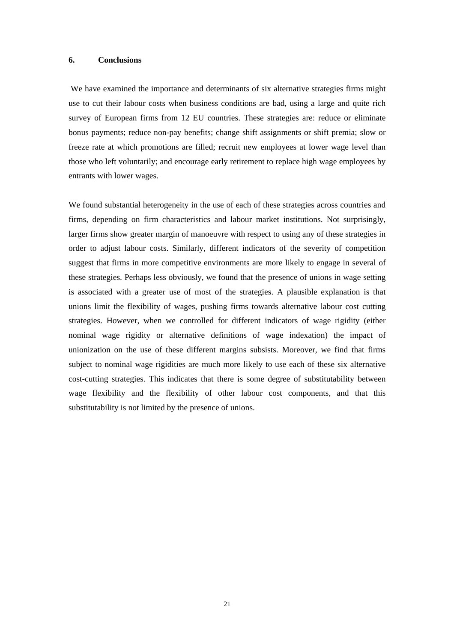#### **6. Conclusions**

We have examined the importance and determinants of six alternative strategies firms might use to cut their labour costs when business conditions are bad, using a large and quite rich survey of European firms from 12 EU countries. These strategies are: reduce or eliminate bonus payments; reduce non-pay benefits; change shift assignments or shift premia; slow or freeze rate at which promotions are filled; recruit new employees at lower wage level than those who left voluntarily; and encourage early retirement to replace high wage employees by entrants with lower wages.

We found substantial heterogeneity in the use of each of these strategies across countries and firms, depending on firm characteristics and labour market institutions. Not surprisingly, larger firms show greater margin of manoeuvre with respect to using any of these strategies in order to adjust labour costs. Similarly, different indicators of the severity of competition suggest that firms in more competitive environments are more likely to engage in several of these strategies. Perhaps less obviously, we found that the presence of unions in wage setting is associated with a greater use of most of the strategies. A plausible explanation is that unions limit the flexibility of wages, pushing firms towards alternative labour cost cutting strategies. However, when we controlled for different indicators of wage rigidity (either nominal wage rigidity or alternative definitions of wage indexation) the impact of unionization on the use of these different margins subsists. Moreover, we find that firms subject to nominal wage rigidities are much more likely to use each of these six alternative cost-cutting strategies. This indicates that there is some degree of substitutability between wage flexibility and the flexibility of other labour cost components, and that this substitutability is not limited by the presence of unions.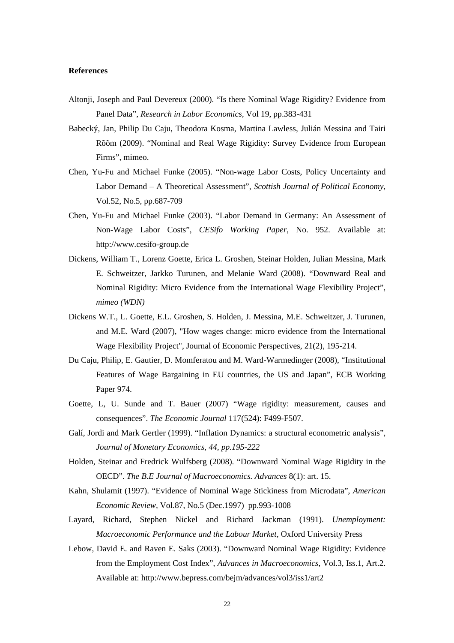## **References**

- Altonji, Joseph and Paul Devereux (2000). "Is there Nominal Wage Rigidity? Evidence from Panel Data", *Research in Labor Economics,* Vol 19, pp.383-431
- Babecký, Jan, Philip Du Caju, Theodora Kosma, Martina Lawless, Julián Messina and Tairi Rõõm (2009). "Nominal and Real Wage Rigidity: Survey Evidence from European Firms", mimeo.
- Chen, Yu-Fu and Michael Funke (2005). "Non-wage Labor Costs, Policy Uncertainty and Labor Demand – A Theoretical Assessment", *Scottish Journal of Political Economy*, Vol.52, No.5, pp.687-709
- Chen, Yu-Fu and Michael Funke (2003). "Labor Demand in Germany: An Assessment of Non-Wage Labor Costs", *CESifo Working Paper*, No. 952. Available at: [http://www.cesifo-group.de](http://www.cesifo-group.de/)
- Dickens, William T., Lorenz Goette, Erica L. Groshen, Steinar Holden, Julian Messina, Mark E. Schweitzer, Jarkko Turunen, and Melanie Ward (2008). "Downward Real and Nominal Rigidity: Micro Evidence from the International Wage Flexibility Project", *mimeo (WDN)*
- Dickens W.T., L. Goette, E.L. Groshen, S. Holden, J. Messina, M.E. Schweitzer, J. Turunen, and M.E. Ward (2007), "How wages change: micro evidence from the International Wage Flexibility Project", Journal of Economic Perspectives, 21(2), 195-214.
- Du Caju, Philip, E. Gautier, D. Momferatou and M. Ward-Warmedinger (2008), "Institutional Features of Wage Bargaining in EU countries, the US and Japan", ECB Working Paper 974.
- Goette, L, U. Sunde and T. Bauer (2007) "Wage rigidity: measurement, causes and consequences". *The Economic Journal* 117(524): F499-F507.
- Galí, Jordi and Mark Gertler (1999). "Inflation Dynamics: a structural econometric analysis", *Journal of Monetary Economics, 44, pp.195-222*
- Holden, Steinar and Fredrick Wulfsberg (2008). "Downward Nominal Wage Rigidity in the OECD". *The B.E Journal of Macroeconomics. Advances* 8(1): art. 15.
- Kahn, Shulamit (1997). "Evidence of Nominal Wage Stickiness from Microdata", *American Economic Review,* Vol.87, No.5 (Dec.1997) pp.993-1008
- Layard, Richard, Stephen Nickel and Richard Jackman (1991). *Unemployment: Macroeconomic Performance and the Labour Market,* Oxford University Press
- Lebow, David E. and Raven E. Saks (2003). "Downward Nominal Wage Rigidity: Evidence from the Employment Cost Index", *Advances in Macroeconomics*, Vol.3, Iss.1, Art.2. Available at:<http://www.bepress.com/bejm/advances/vol3/iss1/art2>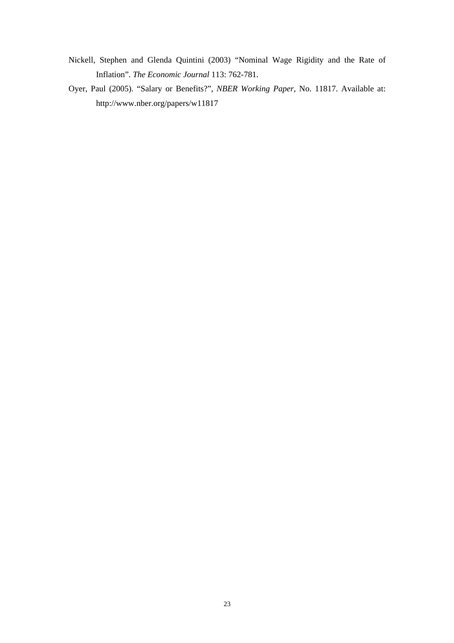- Nickell, Stephen and Glenda Quintini (2003) "Nominal Wage Rigidity and the Rate of Inflation". *The Economic Journal* 113: 762-781.
- Oyer, Paul (2005). "Salary or Benefits?", *NBER Working Paper*, No. 11817. Available at: <http://www.nber.org/papers/w11817>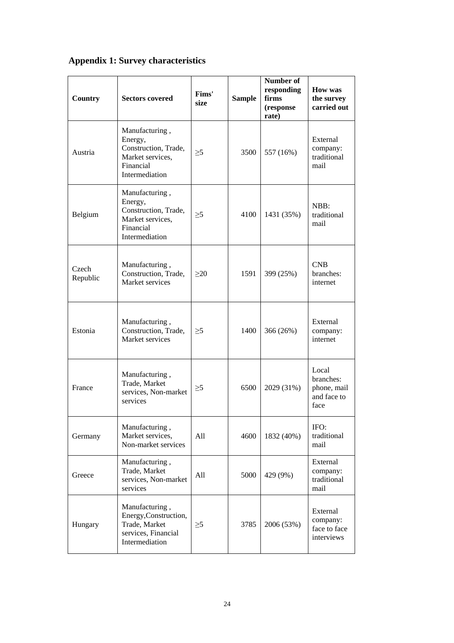# **Appendix 1: Survey characteristics**

| Country           | <b>Sectors covered</b>                                                                               | Fims'<br>size | <b>Sample</b> | Number of<br>responding<br>firms<br>(response)<br>rate) | <b>How was</b><br>the survey<br>carried out              |
|-------------------|------------------------------------------------------------------------------------------------------|---------------|---------------|---------------------------------------------------------|----------------------------------------------------------|
| Austria           | Manufacturing,<br>Energy,<br>Construction, Trade,<br>Market services,<br>Financial<br>Intermediation | $\geq 5$      | 3500          | 557 (16%)                                               | External<br>company:<br>traditional<br>mail              |
| Belgium           | Manufacturing,<br>Energy,<br>Construction, Trade,<br>Market services,<br>Financial<br>Intermediation | $\geq 5$      | 4100          | 1431 (35%)                                              | NBB:<br>traditional<br>mail                              |
| Czech<br>Republic | Manufacturing,<br>Construction, Trade,<br>Market services                                            | >20           | 1591          | 399 (25%)                                               | <b>CNB</b><br>branches:<br>internet                      |
| Estonia           | Manufacturing,<br>Construction, Trade,<br>Market services                                            | $\geq 5$      | 1400          | 366 (26%)                                               | External<br>company:<br>internet                         |
| France            | Manufacturing,<br>Trade, Market<br>services, Non-market<br>services                                  | $\geq 5$      | 6500          | 2029 (31%)                                              | Local<br>branches:<br>phone, mail<br>and face to<br>face |
| Germany           | Manufacturing,<br>Market services,<br>Non-market services                                            | All           | 4600          | 1832 (40%)                                              | IFO:<br>traditional<br>mail                              |
| Greece            | Manufacturing,<br>Trade, Market<br>services, Non-market<br>services                                  | All           | 5000          | 429 (9%)                                                | External<br>company:<br>traditional<br>mail              |
| Hungary           | Manufacturing,<br>Energy, Construction,<br>Trade, Market<br>services, Financial<br>Intermediation    | $\geq 5$      | 3785          | 2006 (53%)                                              | External<br>company:<br>face to face<br>interviews       |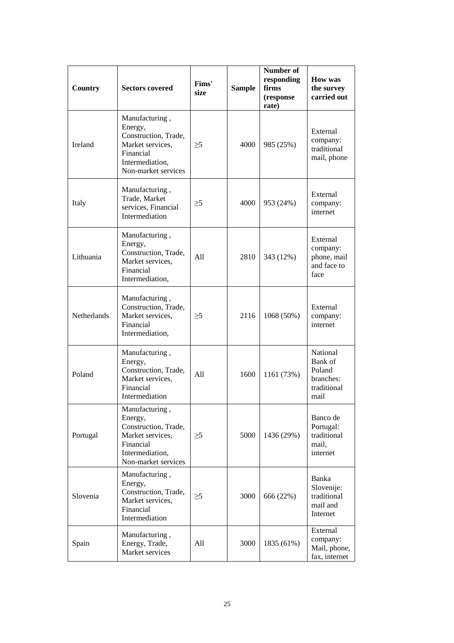| Country            | <b>Sectors covered</b>                                                                                                       | Fims'<br>size | <b>Sample</b> | Number of<br>responding<br>firms<br>(response<br>rate) | <b>How was</b><br>the survey<br>carried out                       |
|--------------------|------------------------------------------------------------------------------------------------------------------------------|---------------|---------------|--------------------------------------------------------|-------------------------------------------------------------------|
| Ireland            | Manufacturing,<br>Energy,<br>Construction, Trade,<br>Market services,<br>Financial<br>Intermediation,<br>Non-market services | $\geq 5$      | 4000          | 985 (25%)                                              | External<br>company:<br>traditional<br>mail, phone                |
| Italy              | Manufacturing,<br>Trade, Market<br>services, Financial<br>Intermediation                                                     | $\geq 5$      | 4000          | 953 (24%)                                              | External<br>company:<br>internet                                  |
| Lithuania          | Manufacturing,<br>Energy,<br>Construction, Trade,<br>Market services,<br>Financial<br>Intermediation,                        | A11           | 2810          | 343 (12%)                                              | External<br>company:<br>phone, mail<br>and face to<br>face        |
| <b>Netherlands</b> | Manufacturing,<br>Construction, Trade,<br>Market services,<br>Financial<br>Intermediation,                                   | $\geq 5$      | 2116          | 1068 (50%)                                             | External<br>company:<br>internet                                  |
| Poland             | Manufacturing,<br>Energy,<br>Construction, Trade,<br>Market services,<br>Financial<br>Intermediation                         | A11           | 1600          | 1161 (73%)                                             | National<br>Bank of<br>Poland<br>branches:<br>traditional<br>mail |
| Portugal           | Manufacturing,<br>Energy,<br>Construction, Trade,<br>Market services,<br>Financial<br>Intermediation,<br>Non-market services | $\geq 5$      | 5000          | 1436 (29%)                                             | Banco de<br>Portugal:<br>traditional<br>mail,<br>internet         |
| Slovenia           | Manufacturing,<br>Energy,<br>Construction, Trade,<br>Market services,<br>Financial<br>Intermediation                         | $\geq 5$      | 3000          | 666 (22%)                                              | Banka<br>Slovenije:<br>traditional<br>mail and<br>Internet        |
| Spain              | Manufacturing,<br>Energy, Trade,<br>Market services                                                                          | All           | 3000          | 1835 (61%)                                             | External<br>company:<br>Mail, phone,<br>fax, internet             |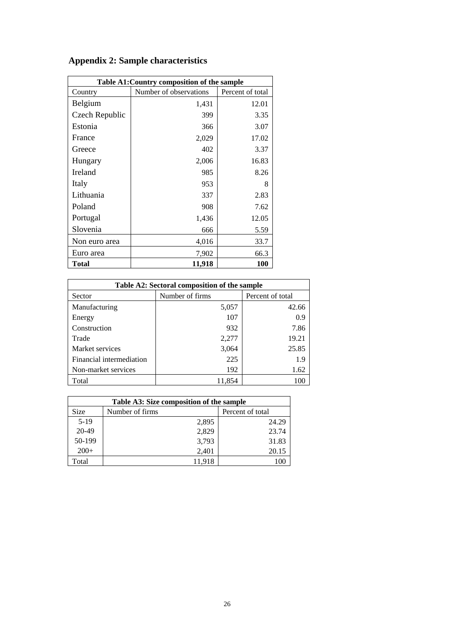| Table A1: Country composition of the sample |                        |                  |  |  |  |  |
|---------------------------------------------|------------------------|------------------|--|--|--|--|
| Country                                     | Number of observations | Percent of total |  |  |  |  |
| Belgium                                     | 1,431                  | 12.01            |  |  |  |  |
| Czech Republic                              | 399                    | 3.35             |  |  |  |  |
| Estonia                                     | 366                    | 3.07             |  |  |  |  |
| France                                      | 2,029                  | 17.02            |  |  |  |  |
| Greece                                      | 402                    | 3.37             |  |  |  |  |
| Hungary                                     | 2,006                  | 16.83            |  |  |  |  |
| <b>Ireland</b>                              | 985                    | 8.26             |  |  |  |  |
| Italy                                       | 953                    | 8                |  |  |  |  |
| Lithuania                                   | 337                    | 2.83             |  |  |  |  |
| Poland                                      | 908                    | 7.62             |  |  |  |  |
| Portugal                                    | 1,436                  | 12.05            |  |  |  |  |
| Slovenia                                    | 666                    | 5.59             |  |  |  |  |
| Non euro area                               | 4,016                  | 33.7             |  |  |  |  |
| Euro area                                   | 7,902                  | 66.3             |  |  |  |  |
| Total                                       | 11,918                 | 100              |  |  |  |  |

# **Appendix 2: Sample characteristics**

| Table A2: Sectoral composition of the sample |                 |                  |  |  |
|----------------------------------------------|-----------------|------------------|--|--|
| Sector                                       | Number of firms | Percent of total |  |  |
| Manufacturing                                | 5,057           | 42.66            |  |  |
| Energy                                       | 107             | 0.9              |  |  |
| Construction                                 | 932             | 7.86             |  |  |
| Trade                                        | 2,277           | 19.21            |  |  |
| Market services                              | 3,064           | 25.85            |  |  |
| Financial intermediation                     | 225             | 1.9              |  |  |
| Non-market services                          | 192             | 1.62             |  |  |
| Total                                        | 11,854          | 100              |  |  |

| Table A3: Size composition of the sample |                 |                  |  |  |  |
|------------------------------------------|-----------------|------------------|--|--|--|
| <b>Size</b>                              | Number of firms | Percent of total |  |  |  |
| $5-19$                                   | 2,895           | 24.29            |  |  |  |
| 20-49                                    | 2,829           | 23.74            |  |  |  |
| 50-199                                   | 3,793           | 31.83            |  |  |  |
| $200+$                                   | 2,401           | 20.15            |  |  |  |
| Total                                    | 11,918          | 100              |  |  |  |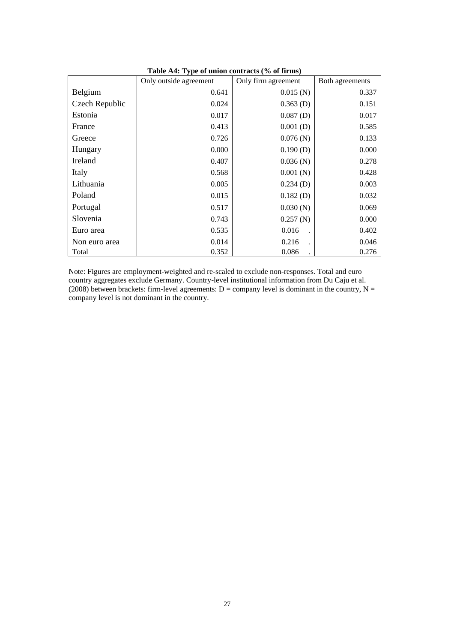|                | Only outside agreement | Only firm agreement | Both agreements |  |
|----------------|------------------------|---------------------|-----------------|--|
| Belgium        | 0.641                  | 0.015(N)            | 0.337           |  |
| Czech Republic | 0.024                  | $0.363$ (D)         | 0.151           |  |
| Estonia        | 0.017                  | $0.087$ (D)         | 0.017           |  |
| France         | 0.413                  | $0.001$ (D)         | 0.585           |  |
| Greece         | 0.726                  | 0.076(N)            | 0.133           |  |
| Hungary        | 0.000                  | $0.190$ (D)         | 0.000           |  |
| Ireland        | 0.407                  | 0.036(N)            | 0.278           |  |
| Italy          | 0.568                  | 0.001(N)            | 0.428           |  |
| Lithuania      | 0.005                  | $0.234$ (D)         | 0.003           |  |
| Poland         | 0.015                  | $0.182$ (D)         | 0.032           |  |
| Portugal       | 0.517                  | 0.030(N)            | 0.069           |  |
| Slovenia       | 0.743                  | 0.257(N)            | 0.000           |  |
| Euro area      | 0.535                  | 0.016               | 0.402           |  |
| Non euro area  | 0.014                  | 0.216               | 0.046           |  |
| Total          | 0.352                  | 0.086               | 0.276           |  |

**Table A4: Type of union contracts (% of firms)** 

Note: Figures are employment-weighted and re-scaled to exclude non-responses. Total and euro country aggregates exclude Germany. Country-level institutional information from Du Caju et al.  $(2008)$  between brackets: firm-level agreements:  $D =$  company level is dominant in the country,  $N =$ company level is not dominant in the country.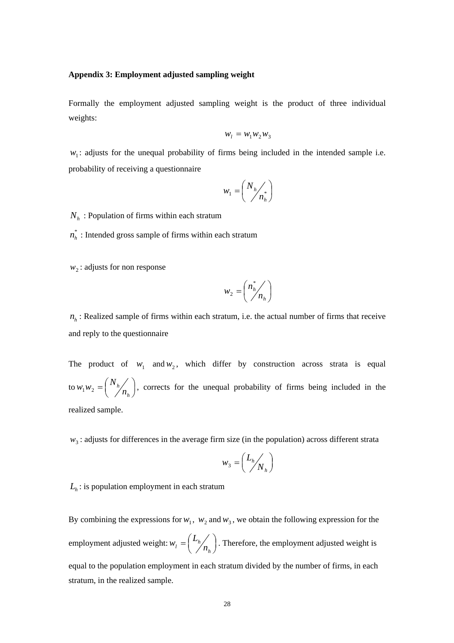## **Appendix 3: Employment adjusted sampling weight**

Formally the employment adjusted sampling weight is the product of three individual weights:

$$
w_l = w_1 w_2 w_3
$$

 $w_1$ : adjusts for the unequal probability of firms being included in the intended sample i.e. probability of receiving a questionnaire

$$
w_1 = \left(\frac{N_h}{n_h}\right)^*
$$

 $N<sub>h</sub>$ : Population of firms within each stratum

 $n_h^*$ : Intended gross sample of firms within each stratum

 $w_2$ : adjusts for non response

$$
w_2 = \left(\frac{n_h^*}{n_h}\right)
$$

 $n<sub>h</sub>$ : Realized sample of firms within each stratum, i.e. the actual number of firms that receive and reply to the questionnaire

The product of  $w_1$  and  $w_2$ , which differ by construction across strata is equal to  $w_1 w_2 = \left(\frac{N_h}{n_h}\right)^2$  $=$  $($ *h h n*  $w_1 w_2 = \left(\frac{N_h}{n}\right)$ , corrects for the unequal probability of firms being included in the realized sample.

 $w<sub>3</sub>$ : adjusts for differences in the average firm size (in the population) across different strata

$$
w_3 = \left(\frac{L_h}{N_h}\right)
$$

 $L<sub>h</sub>$ : is population employment in each stratum

By combining the expressions for  $w_1$ ,  $w_2$  and  $w_3$ , we obtain the following expression for the employment adjusted weight:  $w_l = \left(\frac{L_h}{n_h}\right)^2$  $=$  $($ *h*  $\mu = \frac{L_h}{n}$  $w_l = \left(\frac{L_h}{L}\right)$ . Therefore, the employment adjusted weight is equal to the population employment in each stratum divided by the number of firms, in each stratum, in the realized sample.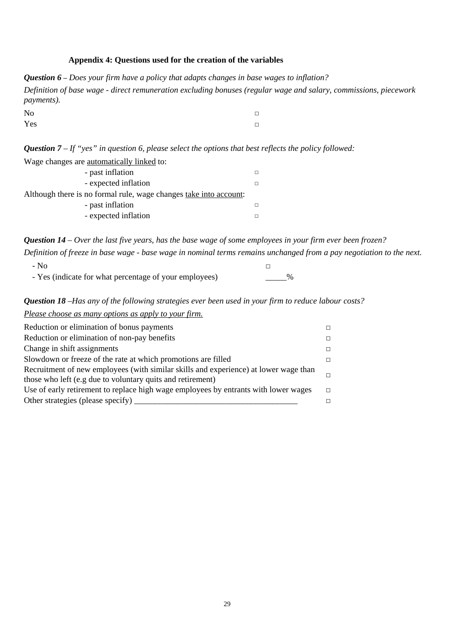# **Appendix 4: Questions used for the creation of the variables**

*Question 6 – Does your firm have a policy that adapts changes in base wages to inflation? Definition of base wage - direct remuneration excluding bonuses (regular wage and salary, commissions, piecework payments).* 

No  $\Box$  $Yes$  □

*Question 7 – If "yes" in question 6, please select the options that best reflects the policy followed:* 

| Wage changes are automatically linked to:                         |  |
|-------------------------------------------------------------------|--|
| - past inflation                                                  |  |
| - expected inflation                                              |  |
| Although there is no formal rule, wage changes take into account: |  |
| - past inflation                                                  |  |
| - expected inflation                                              |  |

*Question 14 – Over the last five years, has the base wage of some employees in your firm ever been frozen?* 

*Definition of freeze in base wage - base wage in nominal terms remains unchanged from a pay negotiation to the next.*   $-$  No  $\Box$ 

| - Yes (indicate for what percentage of your employees) | $\%$ |
|--------------------------------------------------------|------|
|--------------------------------------------------------|------|

*Question 18 –Has any of the following strategies ever been used in your firm to reduce labour costs?* 

| Please choose as many options as apply to your firm.                                 |  |
|--------------------------------------------------------------------------------------|--|
| Reduction or elimination of bonus payments                                           |  |
| Reduction or elimination of non-pay benefits                                         |  |
| Change in shift assignments                                                          |  |
| Slowdown or freeze of the rate at which promotions are filled                        |  |
| Recruitment of new employees (with similar skills and experience) at lower wage than |  |
| those who left (e.g due to voluntary quits and retirement)                           |  |
| Use of early retirement to replace high wage employees by entrants with lower wages  |  |
| Other strategies (please specify)                                                    |  |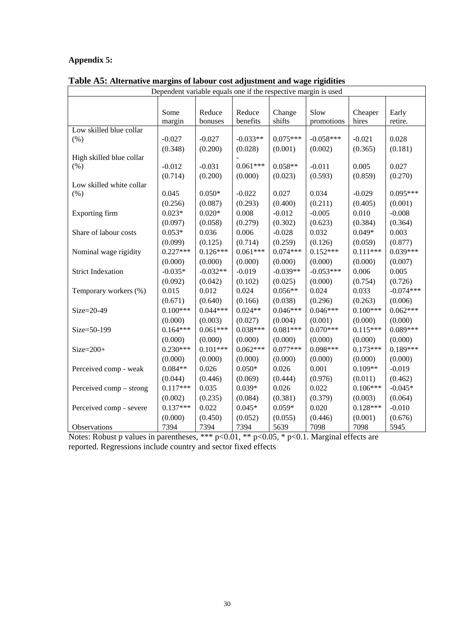# **Appendix 5:**

| Dependent variable equals one if the respective margin is used |                       |                       |                       |                       |                       |            |                       |
|----------------------------------------------------------------|-----------------------|-----------------------|-----------------------|-----------------------|-----------------------|------------|-----------------------|
|                                                                |                       |                       |                       |                       |                       |            |                       |
|                                                                | Some                  | Reduce                | Reduce                | Change                | Slow                  | Cheaper    | Early                 |
|                                                                | margin                | bonuses               | benefits              | shifts                | promotions            | hires      | retire.               |
| Low skilled blue collar                                        |                       |                       |                       |                       |                       |            |                       |
| (% )                                                           | $-0.027$              | $-0.027$              | $-0.033**$            | $0.075***$            | $-0.058***$           | $-0.021$   | 0.028                 |
|                                                                | (0.348)               | (0.200)               | (0.028)               | (0.001)               | (0.002)               | (0.365)    | (0.181)               |
| High skilled blue collar                                       |                       |                       |                       |                       |                       |            |                       |
| (% )                                                           | $-0.012$              | $-0.031$              | $0.061***$            | $0.058**$             | $-0.011$              | 0.005      | 0.027                 |
|                                                                | (0.714)               | (0.200)               | (0.000)               | (0.023)               | (0.593)               | (0.859)    | (0.270)               |
| Low skilled white collar<br>(% )                               | 0.045                 | $0.050*$              | $-0.022$              | 0.027                 | 0.034                 | $-0.029$   | $0.095***$            |
|                                                                | (0.256)               | (0.087)               | (0.293)               | (0.400)               | (0.211)               | (0.405)    | (0.001)               |
| Exporting firm                                                 | $0.023*$              | $0.020*$              | 0.008                 | $-0.012$              | $-0.005$              | 0.010      | $-0.008$              |
|                                                                | (0.097)               | (0.058)               | (0.279)               | (0.302)               | (0.623)               | (0.384)    | (0.364)               |
| Share of labour costs                                          | $0.053*$              | 0.036                 | 0.006                 | $-0.028$              | 0.032                 | $0.049*$   | 0.003                 |
|                                                                | (0.099)               | (0.125)               | (0.714)               | (0.259)               | (0.126)               | (0.059)    | (0.877)               |
| Nominal wage rigidity                                          | $0.227***$            | $0.126***$            | $0.061***$            | $0.074***$            | $0.152***$            | $0.111***$ | $0.039***$            |
|                                                                | (0.000)               | (0.000)               | (0.000)               | (0.000)               | (0.000)               | (0.000)    | (0.007)               |
| <b>Strict Indexation</b>                                       | $-0.035*$             | $-0.032**$            | $-0.019$              | $-0.039**$            | $-0.053***$           | 0.006      | 0.005                 |
|                                                                | (0.092)               | (0.042)               | (0.102)               | (0.025)               | (0.000)               | (0.754)    | (0.726)               |
|                                                                | 0.015                 | 0.012                 | 0.024                 | $0.056**$             | 0.024                 | 0.033      | $-0.074***$           |
| Temporary workers (%)                                          | (0.671)               | (0.640)               |                       | (0.038)               | (0.296)               | (0.263)    | (0.006)               |
| Size=20-49                                                     | $0.100***$            | $0.044***$            | (0.166)<br>$0.024**$  | $0.046***$            | $0.046***$            | $0.100***$ | $0.062***$            |
|                                                                | (0.000)               |                       |                       |                       |                       | (0.000)    |                       |
| Size=50-199                                                    | $0.164***$            | (0.003)<br>$0.061***$ | (0.027)<br>$0.038***$ | (0.004)<br>$0.081***$ | (0.001)<br>$0.070***$ | $0.115***$ | (0.000)<br>$0.089***$ |
|                                                                | (0.000)               | (0.000)               | (0.000)               | (0.000)               | (0.000)               | (0.000)    | (0.000)               |
| $Size = 200+$                                                  | $0.230***$            | $0.101***$            | $0.062***$            | $0.077***$            | $0.098***$            | $0.173***$ | $0.189***$            |
|                                                                | (0.000)               | (0.000)               | (0.000)               | (0.000)               | (0.000)               | (0.000)    | (0.000)               |
| Perceived comp - weak                                          | $0.084**$             | 0.026                 | $0.050*$              | 0.026                 | 0.001                 | $0.109**$  | $-0.019$              |
|                                                                | (0.044)               | (0.446)               | (0.069)               | (0.444)               | (0.976)               | (0.011)    |                       |
|                                                                | $0.117***$            | 0.035                 | $0.039*$              | 0.026                 | 0.022                 | $0.106***$ | (0.462)<br>$-0.045*$  |
| Perceived comp – strong                                        |                       |                       |                       |                       |                       |            |                       |
|                                                                | (0.002)<br>$0.137***$ | (0.235)               | (0.084)               | (0.381)               | (0.379)               | (0.003)    | (0.064)               |
| Perceived comp - severe                                        |                       | 0.022                 | $0.045*$              | $0.059*$              | 0.020                 | $0.128***$ | $-0.010$              |
|                                                                | (0.000)               | (0.450)               | (0.052)               | (0.055)               | (0.446)               | (0.001)    | (0.676)               |
| Observations                                                   | 7394                  | 7394                  | 7394                  | 5639                  | 7098                  | 7098       | 5945                  |

**Table A5: Alternative margins of labour cost adjustment and wage rigidities**

Notes: Robust p values in parentheses, \*\*\* p<0.01, \*\* p<0.05, \* p<0.1. Marginal effects are reported. Regressions include country and sector fixed effects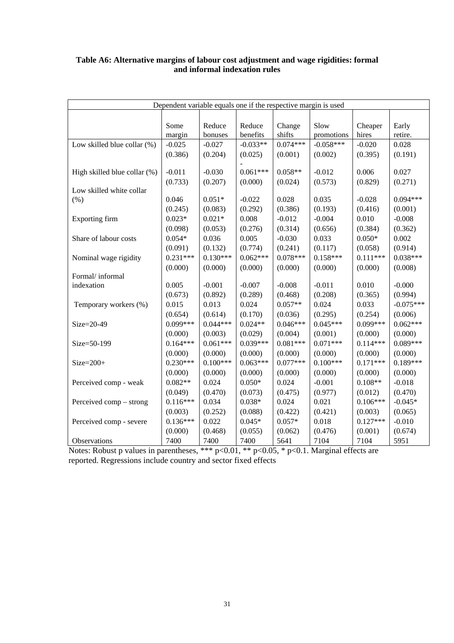| Dependent variable equals one if the respective margin is used |            |            |            |            |             |            |             |
|----------------------------------------------------------------|------------|------------|------------|------------|-------------|------------|-------------|
|                                                                |            |            |            |            |             |            |             |
|                                                                | Some       | Reduce     | Reduce     | Change     | Slow        | Cheaper    | Early       |
|                                                                | margin     | bonuses    | benefits   | shifts     | promotions  | hires      | retire.     |
| Low skilled blue collar (%)                                    | $-0.025$   | $-0.027$   | $-0.033**$ | $0.074***$ | $-0.058***$ | $-0.020$   | 0.028       |
|                                                                | (0.386)    | (0.204)    | (0.025)    | (0.001)    | (0.002)     | (0.395)    | (0.191)     |
|                                                                |            |            |            |            |             |            |             |
| High skilled blue collar (%)                                   | $-0.011$   | $-0.030$   | $0.061***$ | $0.058**$  | $-0.012$    | 0.006      | 0.027       |
|                                                                | (0.733)    | (0.207)    | (0.000)    | (0.024)    | (0.573)     | (0.829)    | (0.271)     |
| Low skilled white collar                                       |            |            |            |            |             |            |             |
| (% )                                                           | 0.046      | $0.051*$   | $-0.022$   | 0.028      | 0.035       | $-0.028$   | $0.094***$  |
|                                                                | (0.245)    | (0.083)    | (0.292)    | (0.386)    | (0.193)     | (0.416)    | (0.001)     |
| Exporting firm                                                 | $0.023*$   | $0.021*$   | 0.008      | $-0.012$   | $-0.004$    | 0.010      | $-0.008$    |
|                                                                | (0.098)    | (0.053)    | (0.276)    | (0.314)    | (0.656)     | (0.384)    | (0.362)     |
| Share of labour costs                                          | $0.054*$   | 0.036      | 0.005      | $-0.030$   | 0.033       | $0.050*$   | 0.002       |
|                                                                | (0.091)    | (0.132)    | (0.774)    | (0.241)    | (0.117)     | (0.058)    | (0.914)     |
| Nominal wage rigidity                                          | $0.231***$ | $0.130***$ | $0.062***$ | $0.078***$ | $0.158***$  | $0.111***$ | $0.038***$  |
|                                                                | (0.000)    | (0.000)    | (0.000)    | (0.000)    | (0.000)     | (0.000)    | (0.008)     |
| Formal/informal                                                |            |            |            |            |             |            |             |
| indexation                                                     | 0.005      | $-0.001$   | $-0.007$   | $-0.008$   | $-0.011$    | 0.010      | $-0.000$    |
|                                                                | (0.673)    | (0.892)    | (0.289)    | (0.468)    | (0.208)     | (0.365)    | (0.994)     |
| Temporary workers (%)                                          | 0.015      | 0.013      | 0.024      | $0.057**$  | 0.024       | 0.033      | $-0.075***$ |
|                                                                | (0.654)    | (0.614)    | (0.170)    | (0.036)    | (0.295)     | (0.254)    | (0.006)     |
| Size=20-49                                                     | $0.099***$ | $0.044***$ | $0.024**$  | $0.046***$ | $0.045***$  | $0.099***$ | $0.062***$  |
|                                                                | (0.000)    | (0.003)    | (0.029)    | (0.004)    | (0.001)     | (0.000)    | (0.000)     |
| Size=50-199                                                    | $0.164***$ | $0.061***$ | $0.039***$ | $0.081***$ | $0.071***$  | $0.114***$ | $0.089***$  |
|                                                                | (0.000)    | (0.000)    | (0.000)    | (0.000)    | (0.000)     | (0.000)    | (0.000)     |
| $Size = 200+$                                                  | $0.230***$ | $0.100***$ | $0.063***$ | $0.077***$ | $0.100***$  | $0.171***$ | $0.189***$  |
|                                                                | (0.000)    | (0.000)    | (0.000)    | (0.000)    | (0.000)     | (0.000)    | (0.000)     |
| Perceived comp - weak                                          | $0.082**$  | 0.024      | $0.050*$   | 0.024      | $-0.001$    | $0.108**$  | $-0.018$    |
|                                                                | (0.049)    | (0.470)    | (0.073)    | (0.475)    | (0.977)     | (0.012)    | (0.470)     |
| Perceived comp – strong                                        | $0.116***$ | 0.034      | $0.038*$   | 0.024      | 0.021       | $0.106***$ | $-0.045*$   |
|                                                                | (0.003)    | (0.252)    | (0.088)    | (0.422)    | (0.421)     | (0.003)    | (0.065)     |
| Perceived comp - severe                                        | $0.136***$ | 0.022      | $0.045*$   | $0.057*$   | 0.018       | $0.127***$ | $-0.010$    |
|                                                                | (0.000)    | (0.468)    | (0.055)    | (0.062)    | (0.476)     | (0.001)    | (0.674)     |
| Observations                                                   | 7400       | 7400       | 7400       | 5641       | 7104        | 7104       | 5951        |

# **Table A6: Alternative margins of labour cost adjustment and wage rigidities: formal and informal indexation rules**

Notes: Robust p values in parentheses, \*\*\* p<0.01, \*\* p<0.05, \* p<0.1. Marginal effects are reported. Regressions include country and sector fixed effects